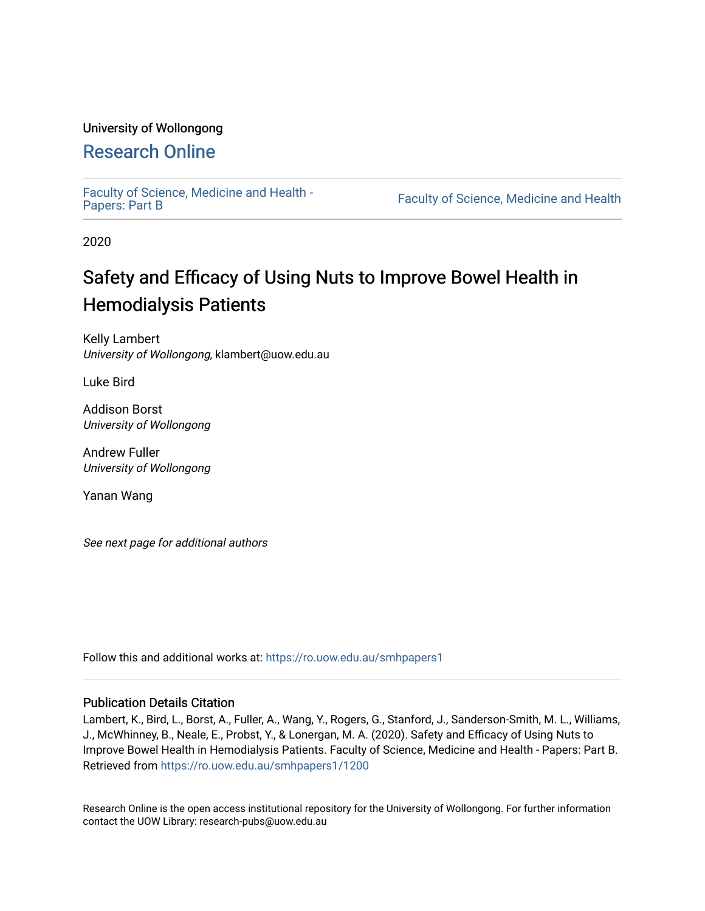### University of Wollongong

# [Research Online](https://ro.uow.edu.au/)

[Faculty of Science, Medicine and Health -](https://ro.uow.edu.au/smhpapers1) Papers: Part B

Faculty of Science, Medicine and Health

2020

# Safety and Efficacy of Using Nuts to Improve Bowel Health in Hemodialysis Patients

Kelly Lambert University of Wollongong, klambert@uow.edu.au

Luke Bird

Addison Borst University of Wollongong

Andrew Fuller University of Wollongong

Yanan Wang

See next page for additional authors

Follow this and additional works at: [https://ro.uow.edu.au/smhpapers1](https://ro.uow.edu.au/smhpapers1?utm_source=ro.uow.edu.au%2Fsmhpapers1%2F1200&utm_medium=PDF&utm_campaign=PDFCoverPages)

#### Publication Details Citation

Lambert, K., Bird, L., Borst, A., Fuller, A., Wang, Y., Rogers, G., Stanford, J., Sanderson-Smith, M. L., Williams, J., McWhinney, B., Neale, E., Probst, Y., & Lonergan, M. A. (2020). Safety and Efficacy of Using Nuts to Improve Bowel Health in Hemodialysis Patients. Faculty of Science, Medicine and Health - Papers: Part B. Retrieved from [https://ro.uow.edu.au/smhpapers1/1200](https://ro.uow.edu.au/smhpapers1/1200?utm_source=ro.uow.edu.au%2Fsmhpapers1%2F1200&utm_medium=PDF&utm_campaign=PDFCoverPages) 

Research Online is the open access institutional repository for the University of Wollongong. For further information contact the UOW Library: research-pubs@uow.edu.au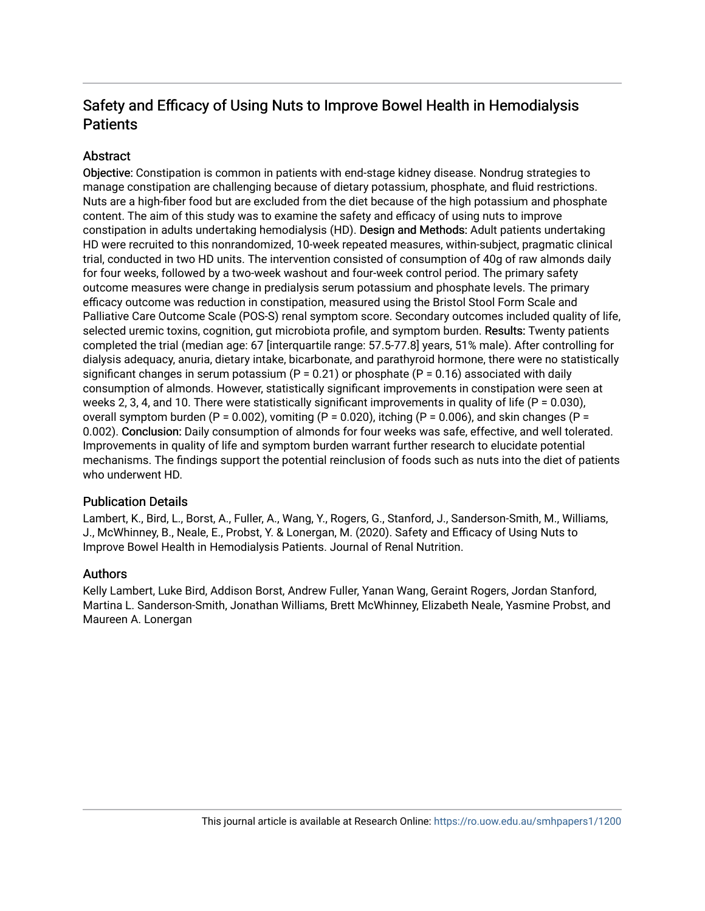# Safety and Efficacy of Using Nuts to Improve Bowel Health in Hemodialysis **Patients**

# **Abstract**

Objective: Constipation is common in patients with end-stage kidney disease. Nondrug strategies to manage constipation are challenging because of dietary potassium, phosphate, and fluid restrictions. Nuts are a high-fiber food but are excluded from the diet because of the high potassium and phosphate content. The aim of this study was to examine the safety and efficacy of using nuts to improve constipation in adults undertaking hemodialysis (HD). Design and Methods: Adult patients undertaking HD were recruited to this nonrandomized, 10-week repeated measures, within-subject, pragmatic clinical trial, conducted in two HD units. The intervention consisted of consumption of 40g of raw almonds daily for four weeks, followed by a two-week washout and four-week control period. The primary safety outcome measures were change in predialysis serum potassium and phosphate levels. The primary efficacy outcome was reduction in constipation, measured using the Bristol Stool Form Scale and Palliative Care Outcome Scale (POS-S) renal symptom score. Secondary outcomes included quality of life, selected uremic toxins, cognition, gut microbiota profile, and symptom burden. Results: Twenty patients completed the trial (median age: 67 [interquartile range: 57.5-77.8] years, 51% male). After controlling for dialysis adequacy, anuria, dietary intake, bicarbonate, and parathyroid hormone, there were no statistically significant changes in serum potassium ( $P = 0.21$ ) or phosphate ( $P = 0.16$ ) associated with daily consumption of almonds. However, statistically significant improvements in constipation were seen at weeks 2, 3, 4, and 10. There were statistically significant improvements in quality of life ( $P = 0.030$ ), overall symptom burden (P = 0.002), vomiting (P = 0.020), itching (P = 0.006), and skin changes (P = 0.002). Conclusion: Daily consumption of almonds for four weeks was safe, effective, and well tolerated. Improvements in quality of life and symptom burden warrant further research to elucidate potential mechanisms. The findings support the potential reinclusion of foods such as nuts into the diet of patients who underwent HD.

# Publication Details

Lambert, K., Bird, L., Borst, A., Fuller, A., Wang, Y., Rogers, G., Stanford, J., Sanderson-Smith, M., Williams, J., McWhinney, B., Neale, E., Probst, Y. & Lonergan, M. (2020). Safety and Efficacy of Using Nuts to Improve Bowel Health in Hemodialysis Patients. Journal of Renal Nutrition.

# Authors

Kelly Lambert, Luke Bird, Addison Borst, Andrew Fuller, Yanan Wang, Geraint Rogers, Jordan Stanford, Martina L. Sanderson-Smith, Jonathan Williams, Brett McWhinney, Elizabeth Neale, Yasmine Probst, and Maureen A. Lonergan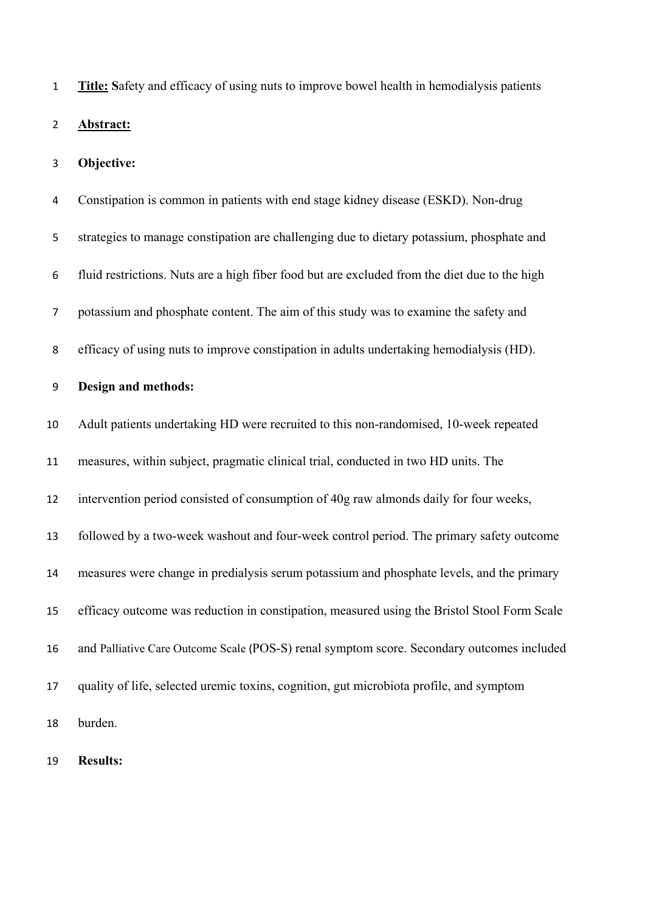**Title: S**afety and efficacy of using nuts to improve bowel health in hemodialysis patients **Abstract: Objective:**  Constipation is common in patients with end stage kidney disease (ESKD). Non-drug strategies to manage constipation are challenging due to dietary potassium, phosphate and fluid restrictions. Nuts are a high fiber food but are excluded from the diet due to the high potassium and phosphate content. The aim of this study was to examine the safety and efficacy of using nuts to improve constipation in adults undertaking hemodialysis (HD). **Design and methods:** Adult patients undertaking HD were recruited to this non-randomised, 10-week repeated measures, within subject, pragmatic clinical trial, conducted in two HD units. The intervention period consisted of consumption of 40g raw almonds daily for four weeks, followed by a two-week washout and four-week control period. The primary safety outcome measures were change in predialysis serum potassium and phosphate levels, and the primary efficacy outcome was reduction in constipation, measured using the Bristol Stool Form Scale and Palliative Care Outcome Scale (POS-S) renal symptom score. Secondary outcomes included quality of life, selected uremic toxins, cognition, gut microbiota profile, and symptom burden.

**Results:**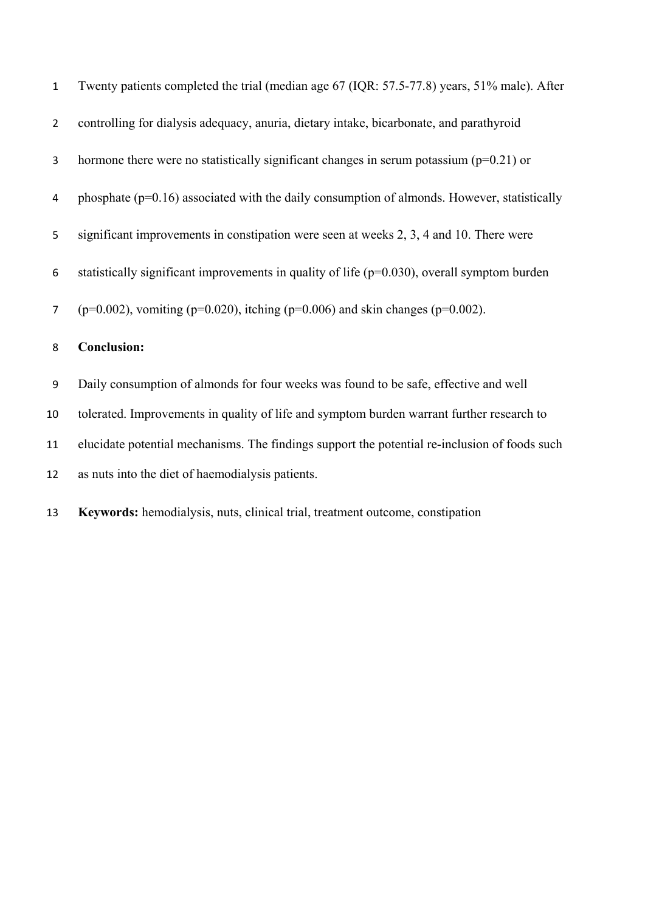| $\mathbf{1}$   | Twenty patients completed the trial (median age 67 (IQR: 57.5-77.8) years, 51% male). After     |
|----------------|-------------------------------------------------------------------------------------------------|
| $\overline{2}$ | controlling for dialysis adequacy, anuria, dietary intake, bicarbonate, and parathyroid         |
| 3              | hormone there were no statistically significant changes in serum potassium ( $p=0.21$ ) or      |
| 4              | phosphate $(p=0.16)$ associated with the daily consumption of almonds. However, statistically   |
| 5              | significant improvements in constipation were seen at weeks 2, 3, 4 and 10. There were          |
| 6              | statistically significant improvements in quality of life ( $p=0.030$ ), overall symptom burden |
| $\overline{7}$ | ( $p=0.002$ ), vomiting ( $p=0.020$ ), itching ( $p=0.006$ ) and skin changes ( $p=0.002$ ).    |
| 8              | <b>Conclusion:</b>                                                                              |
| 9              | Daily consumption of almonds for four weeks was found to be safe, effective and well            |
| 10             | tolerated. Improvements in quality of life and symptom burden warrant further research to       |
| 11             | elucidate potential mechanisms. The findings support the potential re-inclusion of foods such   |
| 12             | as nuts into the diet of haemodialysis patients.                                                |
|                |                                                                                                 |

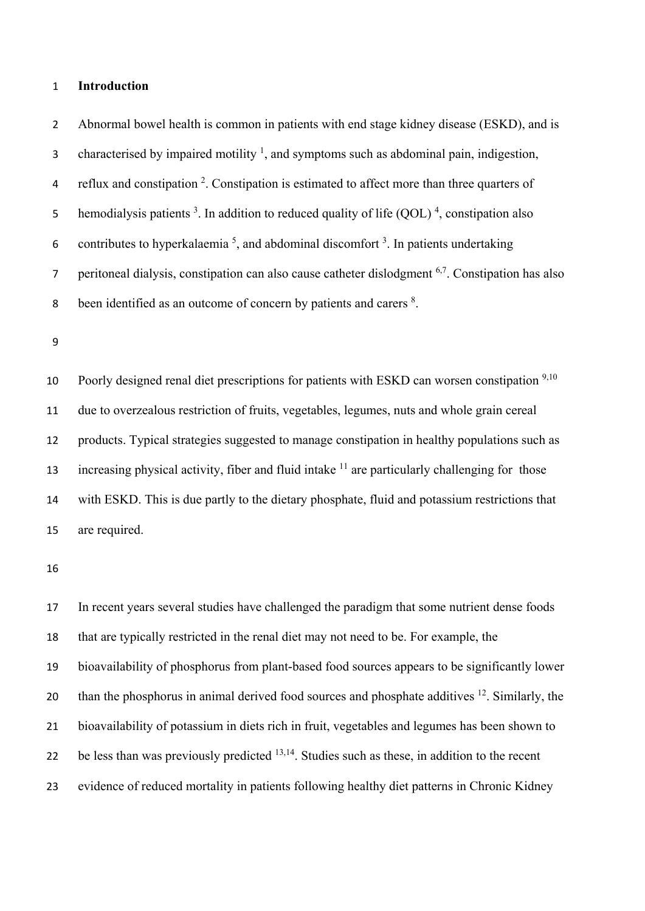#### **Introduction**

 Abnormal bowel health is common in patients with end stage kidney disease (ESKD), and is 3 characterised by impaired motility  $\frac{1}{2}$ , and symptoms such as abdominal pain, indigestion, 4 reflux and constipation . Constipation is estimated to affect more than three quarters of 5 hemodialysis patients <sup>3</sup>. In addition to reduced quality of life  $(QOL)^4$ , constipation also 6 contributes to hyperkalaemia<sup>5</sup>, and abdominal discomfort<sup>3</sup>. In patients undertaking peritoneal dialysis, constipation can also cause catheter dislodgment  $6,7$ . Constipation has also 8 been identified as an outcome of concern by patients and carers <sup>8</sup>. 10 Poorly designed renal diet prescriptions for patients with ESKD can worsen constipation <sup>9,10</sup> due to overzealous restriction of fruits, vegetables, legumes, nuts and whole grain cereal products. Typical strategies suggested to manage constipation in healthy populations such as increasing physical activity, fiber and fluid intake are particularly challenging for those

 with ESKD. This is due partly to the dietary phosphate, fluid and potassium restrictions that are required.

 In recent years several studies have challenged the paradigm that some nutrient dense foods that are typically restricted in the renal diet may not need to be. For example, the bioavailability of phosphorus from plant-based food sources appears to be significantly lower 20 than the phosphorus in animal derived food sources and phosphate additives . Similarly, the bioavailability of potassium in diets rich in fruit, vegetables and legumes has been shown to 22 be less than was previously predicted <sup>13,14</sup>. Studies such as these, in addition to the recent evidence of reduced mortality in patients following healthy diet patterns in Chronic Kidney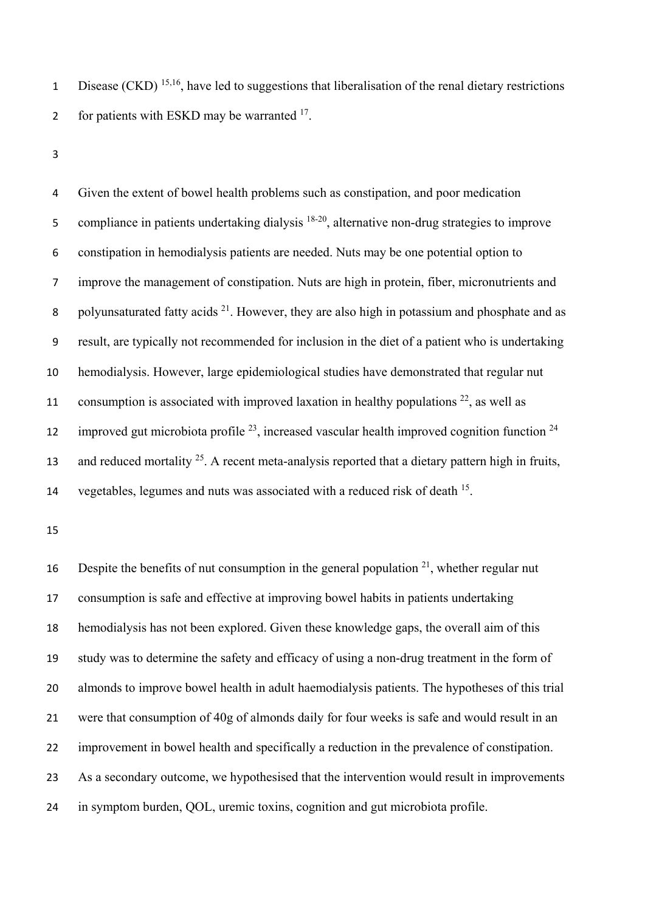1 Disease (CKD)<sup>15,16</sup>, have led to suggestions that liberalisation of the renal dietary restrictions 2 for patients with ESKD may be warranted .

 Given the extent of bowel health problems such as constipation, and poor medication 5 compliance in patients undertaking dialysis  $18-20$ , alternative non-drug strategies to improve constipation in hemodialysis patients are needed. Nuts may be one potential option to improve the management of constipation. Nuts are high in protein, fiber, micronutrients and 8 polyunsaturated fatty acids  $2<sup>1</sup>$ . However, they are also high in potassium and phosphate and as result, are typically not recommended for inclusion in the diet of a patient who is undertaking hemodialysis. However, large epidemiological studies have demonstrated that regular nut 11 consumption is associated with improved laxation in healthy populations , as well as 12 improved gut microbiota profile  $^{23}$ , increased vascular health improved cognition function  $^{24}$ and reduced mortality <sup>25</sup>. A recent meta-analysis reported that a dietary pattern high in fruits, 14 vegetables, legumes and nuts was associated with a reduced risk of death .

16 Despite the benefits of nut consumption in the general population  $2<sup>1</sup>$ , whether regular nut consumption is safe and effective at improving bowel habits in patients undertaking hemodialysis has not been explored. Given these knowledge gaps, the overall aim of this study was to determine the safety and efficacy of using a non-drug treatment in the form of almonds to improve bowel health in adult haemodialysis patients. The hypotheses of this trial were that consumption of 40g of almonds daily for four weeks is safe and would result in an improvement in bowel health and specifically a reduction in the prevalence of constipation. 23 As a secondary outcome, we hypothesised that the intervention would result in improvements in symptom burden, QOL, uremic toxins, cognition and gut microbiota profile.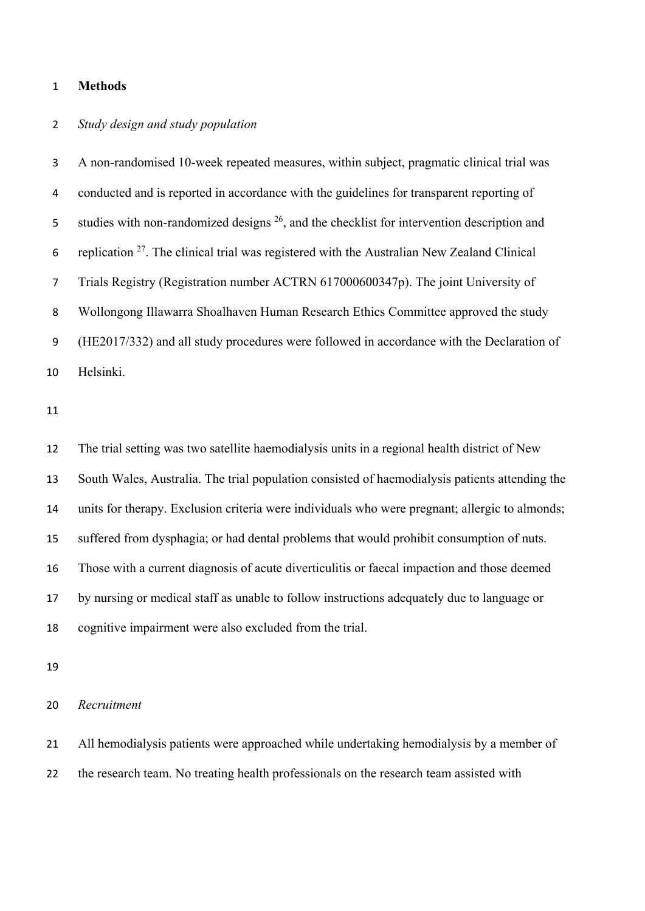#### **Methods**

# *Study design and study population*

 A non-randomised 10-week repeated measures, within subject, pragmatic clinical trial was conducted and is reported in accordance with the guidelines for transparent reporting of 5 studies with non-randomized designs , and the checklist for intervention description and 6 replication . The clinical trial was registered with the Australian New Zealand Clinical Trials Registry (Registration number ACTRN 617000600347p). The joint University of Wollongong Illawarra Shoalhaven Human Research Ethics Committee approved the study (HE2017/332) and all study procedures were followed in accordance with the Declaration of Helsinki.

 The trial setting was two satellite haemodialysis units in a regional health district of New South Wales, Australia. The trial population consisted of haemodialysis patients attending the units for therapy. Exclusion criteria were individuals who were pregnant; allergic to almonds; suffered from dysphagia; or had dental problems that would prohibit consumption of nuts. Those with a current diagnosis of acute diverticulitis or faecal impaction and those deemed by nursing or medical staff as unable to follow instructions adequately due to language or cognitive impairment were also excluded from the trial.

*Recruitment* 

 All hemodialysis patients were approached while undertaking hemodialysis by a member of 22 the research team. No treating health professionals on the research team assisted with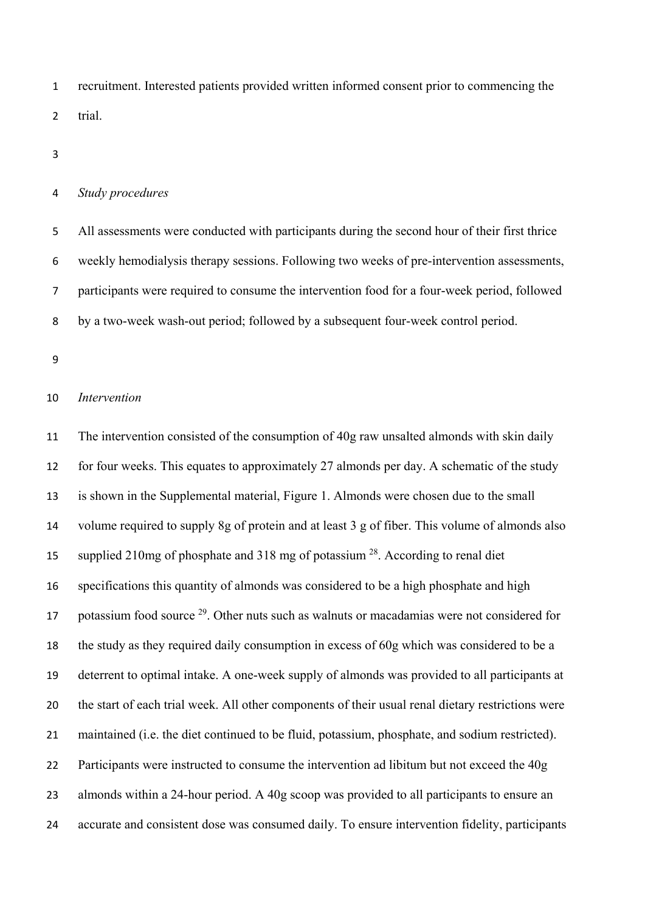recruitment. Interested patients provided written informed consent prior to commencing the trial.

#### *Study procedures*

 All assessments were conducted with participants during the second hour of their first thrice weekly hemodialysis therapy sessions. Following two weeks of pre-intervention assessments, participants were required to consume the intervention food for a four-week period, followed by a two-week wash-out period; followed by a subsequent four-week control period.

#### *Intervention*

11 The intervention consisted of the consumption of 40g raw unsalted almonds with skin daily 12 for four weeks. This equates to approximately 27 almonds per day. A schematic of the study is shown in the Supplemental material, Figure 1. Almonds were chosen due to the small volume required to supply 8g of protein and at least 3 g of fiber. This volume of almonds also 15 supplied 210mg of phosphate and 318 mg of potassium . According to renal diet specifications this quantity of almonds was considered to be a high phosphate and high 17 botassium food source . Other nuts such as walnuts or macadamias were not considered for the study as they required daily consumption in excess of 60g which was considered to be a deterrent to optimal intake. A one-week supply of almonds was provided to all participants at the start of each trial week. All other components of their usual renal dietary restrictions were maintained (i.e. the diet continued to be fluid, potassium, phosphate, and sodium restricted). Participants were instructed to consume the intervention ad libitum but not exceed the 40g almonds within a 24-hour period. A 40g scoop was provided to all participants to ensure an accurate and consistent dose was consumed daily. To ensure intervention fidelity, participants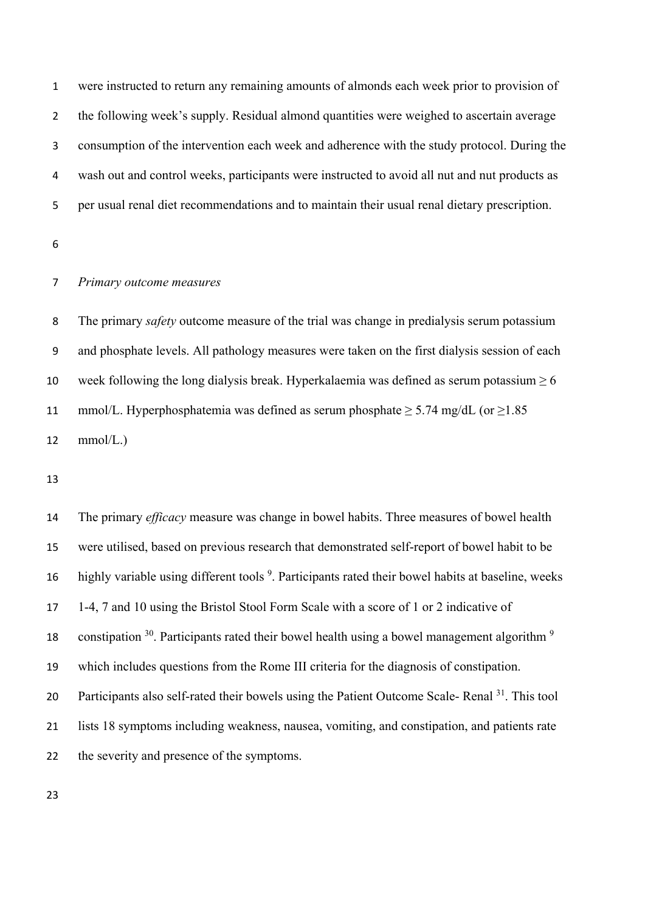were instructed to return any remaining amounts of almonds each week prior to provision of the following week's supply. Residual almond quantities were weighed to ascertain average consumption of the intervention each week and adherence with the study protocol. During the wash out and control weeks, participants were instructed to avoid all nut and nut products as per usual renal diet recommendations and to maintain their usual renal dietary prescription.

### *Primary outcome measures*

 The primary *safety* outcome measure of the trial was change in predialysis serum potassium and phosphate levels. All pathology measures were taken on the first dialysis session of each 10 week following the long dialysis break. Hyperkalaemia was defined as serum potassium  $\geq 6$ 11 mmol/L. Hyperphosphatemia was defined as serum phosphate  $> 5.74$  mg/dL (or  $>1.85$ ) mmol/L.)

 The primary *efficacy* measure was change in bowel habits. Three measures of bowel health were utilised, based on previous research that demonstrated self-report of bowel habit to be 16 highly variable using different tools <sup>9</sup>. Participants rated their bowel habits at baseline, weeks 1-4, 7 and 10 using the Bristol Stool Form Scale with a score of 1 or 2 indicative of 18 constipation . Participants rated their bowel health using a bowel management algorithm  $9$  which includes questions from the Rome III criteria for the diagnosis of constipation. 20 Participants also self-rated their bowels using the Patient Outcome Scale- Renal . This tool lists 18 symptoms including weakness, nausea, vomiting, and constipation, and patients rate 22 the severity and presence of the symptoms.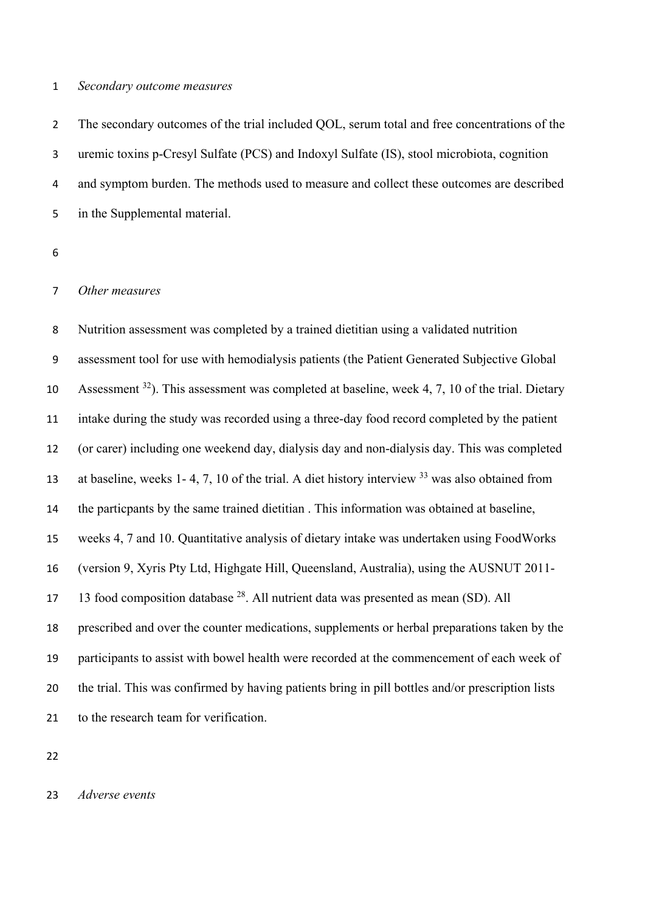#### *Secondary outcome measures*

2 The secondary outcomes of the trial included QOL, serum total and free concentrations of the uremic toxins p-Cresyl Sulfate (PCS) and Indoxyl Sulfate (IS), stool microbiota, cognition and symptom burden. The methods used to measure and collect these outcomes are described in the Supplemental material.

#### *Other measures*

 Nutrition assessment was completed by a trained dietitian using a validated nutrition assessment tool for use with hemodialysis patients (the Patient Generated Subjective Global 10 Assessment ). This assessment was completed at baseline, week 4, 7, 10 of the trial. Dietary intake during the study was recorded using a three-day food record completed by the patient (or carer) including one weekend day, dialysis day and non-dialysis day. This was completed 13 at baseline, weeks 1- 4, 7, 10 of the trial. A diet history interview was also obtained from the particpants by the same trained dietitian . This information was obtained at baseline, weeks 4, 7 and 10. Quantitative analysis of dietary intake was undertaken using FoodWorks (version 9, Xyris Pty Ltd, Highgate Hill, Queensland, Australia), using the AUSNUT 2011- 17 13 food composition database . All nutrient data was presented as mean (SD). All prescribed and over the counter medications, supplements or herbal preparations taken by the participants to assist with bowel health were recorded at the commencement of each week of the trial. This was confirmed by having patients bring in pill bottles and/or prescription lists to the research team for verification.

*Adverse events*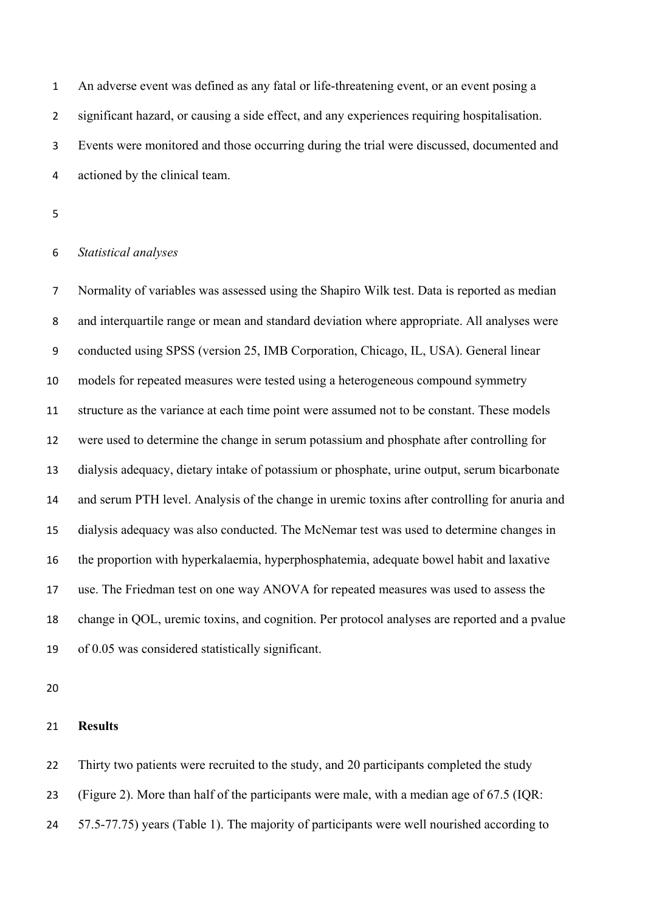An adverse event was defined as any fatal or life-threatening event, or an event posing a significant hazard, or causing a side effect, and any experiences requiring hospitalisation. Events were monitored and those occurring during the trial were discussed, documented and actioned by the clinical team.

#### *Statistical analyses*

 Normality of variables was assessed using the Shapiro Wilk test. Data is reported as median and interquartile range or mean and standard deviation where appropriate. All analyses were conducted using SPSS (version 25, IMB Corporation, Chicago, IL, USA). General linear models for repeated measures were tested using a heterogeneous compound symmetry structure as the variance at each time point were assumed not to be constant. These models were used to determine the change in serum potassium and phosphate after controlling for dialysis adequacy, dietary intake of potassium or phosphate, urine output, serum bicarbonate and serum PTH level. Analysis of the change in uremic toxins after controlling for anuria and dialysis adequacy was also conducted. The McNemar test was used to determine changes in the proportion with hyperkalaemia, hyperphosphatemia, adequate bowel habit and laxative use. The Friedman test on one way ANOVA for repeated measures was used to assess the change in QOL, uremic toxins, and cognition. Per protocol analyses are reported and a pvalue of 0.05 was considered statistically significant.

#### **Results**

22 Thirty two patients were recruited to the study, and 20 participants completed the study

(Figure 2). More than half of the participants were male, with a median age of 67.5 (IQR:

24 57.5-77.75) years (Table 1). The majority of participants were well nourished according to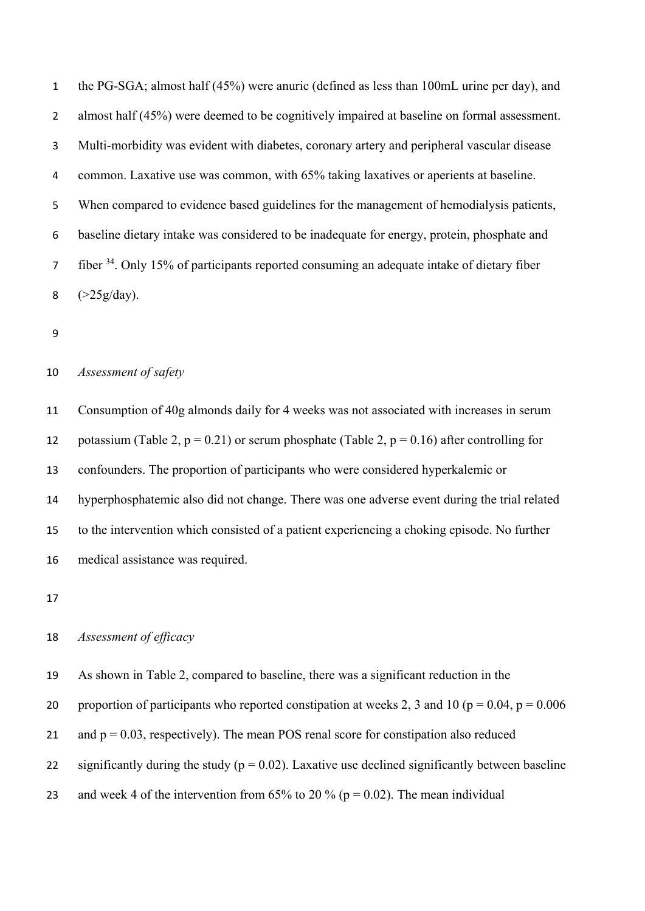the PG-SGA; almost half (45%) were anuric (defined as less than 100mL urine per day), and almost half (45%) were deemed to be cognitively impaired at baseline on formal assessment. Multi-morbidity was evident with diabetes, coronary artery and peripheral vascular disease common. Laxative use was common, with 65% taking laxatives or aperients at baseline. When compared to evidence based guidelines for the management of hemodialysis patients, baseline dietary intake was considered to be inadequate for energy, protein, phosphate and 7 fiber <sup>34</sup>. Only 15% of participants reported consuming an adequate intake of dietary fiber  $(>25g/day)$ .

#### *Assessment of safety*

 Consumption of 40g almonds daily for 4 weeks was not associated with increases in serum 12 potassium (Table 2,  $p = 0.21$ ) or serum phosphate (Table 2,  $p = 0.16$ ) after controlling for confounders. The proportion of participants who were considered hyperkalemic or hyperphosphatemic also did not change. There was one adverse event during the trial related to the intervention which consisted of a patient experiencing a choking episode. No further medical assistance was required.

# *Assessment of efficacy*

As shown in Table 2, compared to baseline, there was a significant reduction in the

20 proportion of participants who reported constipation at weeks 2, 3 and 10 ( $p = 0.04$ ,  $p = 0.006$ )

21 and  $p = 0.03$ , respectively). The mean POS renal score for constipation also reduced

22 significantly during the study ( $p = 0.02$ ). Laxative use declined significantly between baseline

23 and week 4 of the intervention from 65% to 20 % ( $p = 0.02$ ). The mean individual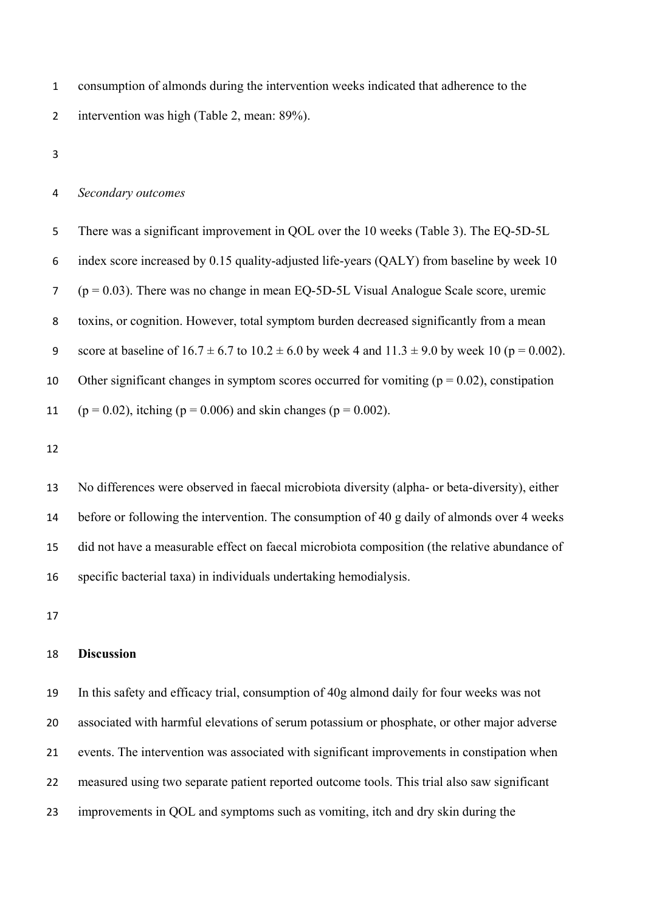consumption of almonds during the intervention weeks indicated that adherence to the intervention was high (Table 2, mean: 89%).

#### *Secondary outcomes*

 There was a significant improvement in QOL over the 10 weeks (Table 3). The EQ-5D-5L index score increased by 0.15 quality-adjusted life-years (QALY) from baseline by week 10 ( $p = 0.03$ ). There was no change in mean EQ-5D-5L Visual Analogue Scale score, uremic toxins, or cognition. However, total symptom burden decreased significantly from a mean 9 score at baseline of  $16.7 \pm 6.7$  to  $10.2 \pm 6.0$  by week 4 and  $11.3 \pm 9.0$  by week 10 (p = 0.002). 10 Other significant changes in symptom scores occurred for vomiting ( $p = 0.02$ ), constipation 11 (p = 0.02), itching (p = 0.006) and skin changes (p = 0.002).

 No differences were observed in faecal microbiota diversity (alpha- or beta-diversity), either before or following the intervention. The consumption of 40 g daily of almonds over 4 weeks did not have a measurable effect on faecal microbiota composition (the relative abundance of specific bacterial taxa) in individuals undertaking hemodialysis.

#### **Discussion**

 In this safety and efficacy trial, consumption of 40g almond daily for four weeks was not associated with harmful elevations of serum potassium or phosphate, or other major adverse events. The intervention was associated with significant improvements in constipation when measured using two separate patient reported outcome tools. This trial also saw significant improvements in QOL and symptoms such as vomiting, itch and dry skin during the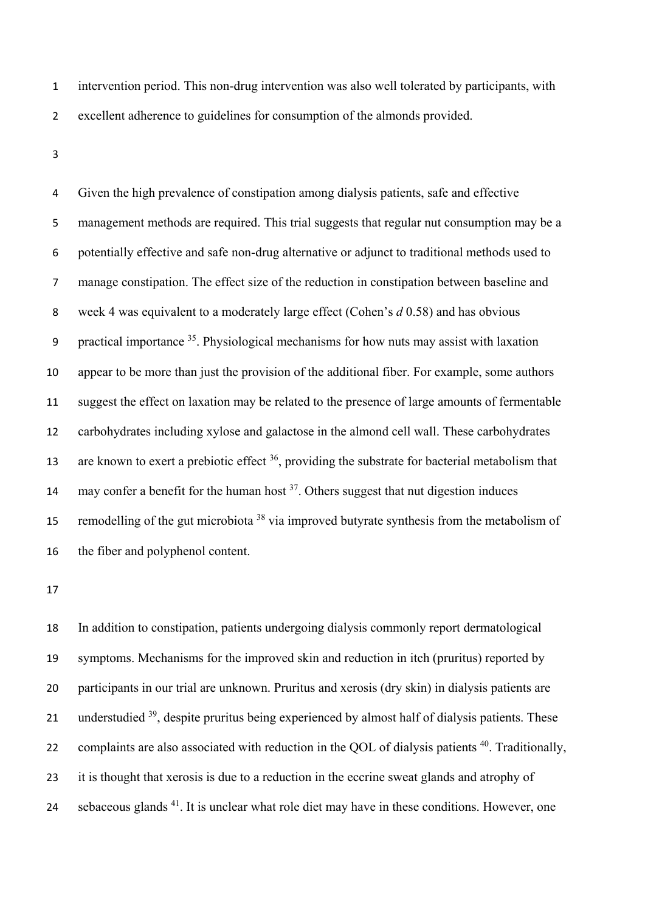- intervention period. This non-drug intervention was also well tolerated by participants, with excellent adherence to guidelines for consumption of the almonds provided.
- 

 Given the high prevalence of constipation among dialysis patients, safe and effective management methods are required. This trial suggests that regular nut consumption may be a potentially effective and safe non-drug alternative or adjunct to traditional methods used to manage constipation. The effect size of the reduction in constipation between baseline and week 4 was equivalent to a moderately large effect (Cohen's *d* 0.58) and has obvious 9 practical importance . Physiological mechanisms for how nuts may assist with laxation appear to be more than just the provision of the additional fiber. For example, some authors suggest the effect on laxation may be related to the presence of large amounts of fermentable carbohydrates including xylose and galactose in the almond cell wall. These carbohydrates 13 are known to exert a prebiotic effect , providing the substrate for bacterial metabolism that 14 may confer a benefit for the human host  $3^7$ . Others suggest that nut digestion induces 15 remodelling of the gut microbiota<sup>38</sup> via improved butyrate synthesis from the metabolism of the fiber and polyphenol content.

 In addition to constipation, patients undergoing dialysis commonly report dermatological symptoms. Mechanisms for the improved skin and reduction in itch (pruritus) reported by participants in our trial are unknown. Pruritus and xerosis (dry skin) in dialysis patients are 21 understudied , despite pruritus being experienced by almost half of dialysis patients. These 22 complaints are also associated with reduction in the QOL of dialysis patients . Traditionally, 23 it is thought that xerosis is due to a reduction in the eccrine sweat glands and atrophy of 24 sebaceous glands <sup>41</sup>. It is unclear what role diet may have in these conditions. However, one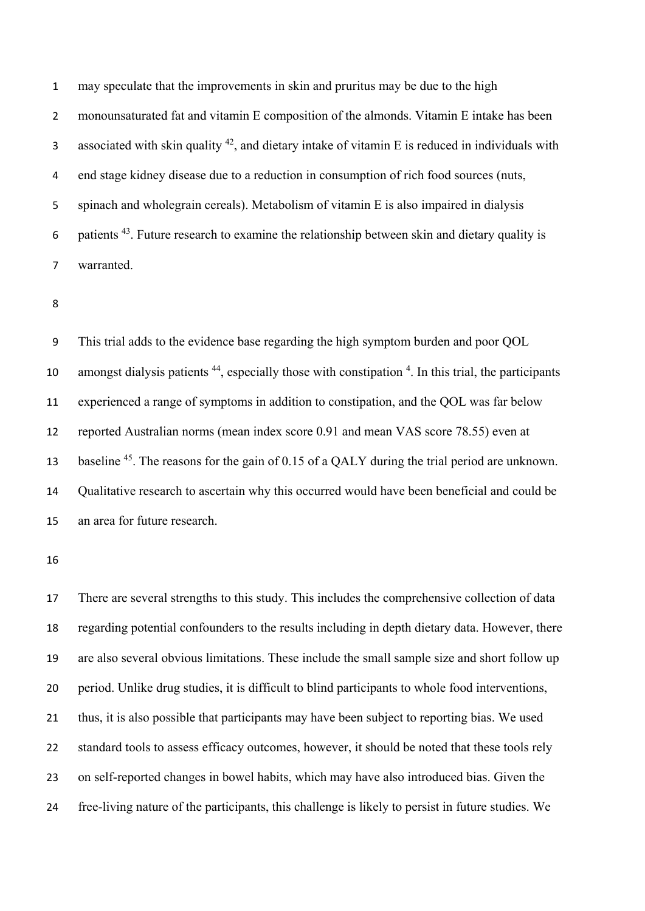may speculate that the improvements in skin and pruritus may be due to the high monounsaturated fat and vitamin E composition of the almonds. Vitamin E intake has been associated with skin quality , and dietary intake of vitamin E is reduced in individuals with end stage kidney disease due to a reduction in consumption of rich food sources (nuts, spinach and wholegrain cereals). Metabolism of vitamin E is also impaired in dialysis 6 . patients . Future research to examine the relationship between skin and dietary quality is warranted.

 This trial adds to the evidence base regarding the high symptom burden and poor QOL 10 amongst dialysis patients , especially those with constipation  $4$ . In this trial, the participants experienced a range of symptoms in addition to constipation, and the QOL was far below reported Australian norms (mean index score 0.91 and mean VAS score 78.55) even at 13 baseline <sup>45</sup>. The reasons for the gain of 0.15 of a OALY during the trial period are unknown. Qualitative research to ascertain why this occurred would have been beneficial and could be an area for future research.

 There are several strengths to this study. This includes the comprehensive collection of data regarding potential confounders to the results including in depth dietary data. However, there are also several obvious limitations. These include the small sample size and short follow up period. Unlike drug studies, it is difficult to blind participants to whole food interventions, thus, it is also possible that participants may have been subject to reporting bias. We used standard tools to assess efficacy outcomes, however, it should be noted that these tools rely on self-reported changes in bowel habits, which may have also introduced bias. Given the free-living nature of the participants, this challenge is likely to persist in future studies. We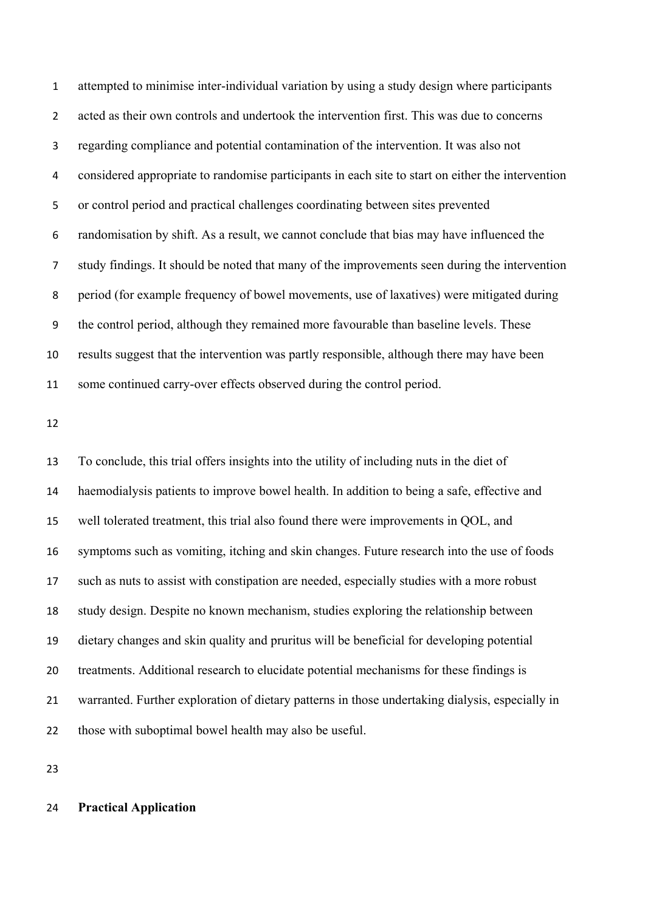attempted to minimise inter-individual variation by using a study design where participants acted as their own controls and undertook the intervention first. This was due to concerns regarding compliance and potential contamination of the intervention. It was also not considered appropriate to randomise participants in each site to start on either the intervention or control period and practical challenges coordinating between sites prevented randomisation by shift. As a result, we cannot conclude that bias may have influenced the study findings. It should be noted that many of the improvements seen during the intervention period (for example frequency of bowel movements, use of laxatives) were mitigated during the control period, although they remained more favourable than baseline levels. These results suggest that the intervention was partly responsible, although there may have been some continued carry-over effects observed during the control period.

 To conclude, this trial offers insights into the utility of including nuts in the diet of haemodialysis patients to improve bowel health. In addition to being a safe, effective and well tolerated treatment, this trial also found there were improvements in QOL, and symptoms such as vomiting, itching and skin changes. Future research into the use of foods such as nuts to assist with constipation are needed, especially studies with a more robust study design. Despite no known mechanism, studies exploring the relationship between dietary changes and skin quality and pruritus will be beneficial for developing potential treatments. Additional research to elucidate potential mechanisms for these findings is warranted. Further exploration of dietary patterns in those undertaking dialysis, especially in those with suboptimal bowel health may also be useful.

# **Practical Application**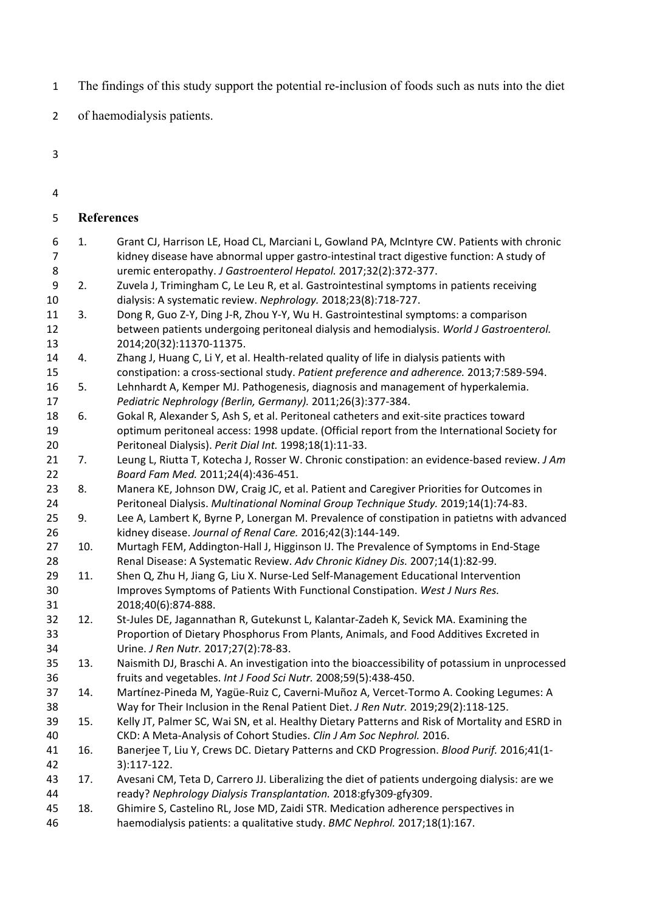- The findings of this study support the potential re-inclusion of foods such as nuts into the diet
- of haemodialysis patients.
- 
- 

| 5              |     | <b>References</b>                                                                                                                                      |
|----------------|-----|--------------------------------------------------------------------------------------------------------------------------------------------------------|
| 6              | 1.  | Grant CJ, Harrison LE, Hoad CL, Marciani L, Gowland PA, McIntyre CW. Patients with chronic                                                             |
| $\overline{7}$ |     | kidney disease have abnormal upper gastro-intestinal tract digestive function: A study of                                                              |
| 8              |     | uremic enteropathy. J Gastroenterol Hepatol. 2017;32(2):372-377.                                                                                       |
| 9              | 2.  | Zuvela J, Trimingham C, Le Leu R, et al. Gastrointestinal symptoms in patients receiving                                                               |
| 10             |     | dialysis: A systematic review. Nephrology. 2018;23(8):718-727.                                                                                         |
| 11             | 3.  | Dong R, Guo Z-Y, Ding J-R, Zhou Y-Y, Wu H. Gastrointestinal symptoms: a comparison                                                                     |
| 12             |     | between patients undergoing peritoneal dialysis and hemodialysis. World J Gastroenterol.                                                               |
| 13             |     | 2014;20(32):11370-11375.                                                                                                                               |
| 14             | 4.  | Zhang J, Huang C, Li Y, et al. Health-related quality of life in dialysis patients with                                                                |
| 15             |     | constipation: a cross-sectional study. Patient preference and adherence. 2013;7:589-594.                                                               |
| 16             | 5.  | Lehnhardt A, Kemper MJ. Pathogenesis, diagnosis and management of hyperkalemia.                                                                        |
| 17             |     | Pediatric Nephrology (Berlin, Germany). 2011;26(3):377-384.                                                                                            |
| 18<br>19       | 6.  | Gokal R, Alexander S, Ash S, et al. Peritoneal catheters and exit-site practices toward                                                                |
| 20             |     | optimum peritoneal access: 1998 update. (Official report from the International Society for<br>Peritoneal Dialysis). Perit Dial Int. 1998;18(1):11-33. |
| 21             | 7.  | Leung L, Riutta T, Kotecha J, Rosser W. Chronic constipation: an evidence-based review. J Am                                                           |
| 22             |     | Board Fam Med. 2011;24(4):436-451.                                                                                                                     |
| 23             | 8.  | Manera KE, Johnson DW, Craig JC, et al. Patient and Caregiver Priorities for Outcomes in                                                               |
| 24             |     | Peritoneal Dialysis. Multinational Nominal Group Technique Study. 2019;14(1):74-83.                                                                    |
| 25             | 9.  | Lee A, Lambert K, Byrne P, Lonergan M. Prevalence of constipation in patietns with advanced                                                            |
| 26             |     | kidney disease. Journal of Renal Care. 2016;42(3):144-149.                                                                                             |
| 27             | 10. | Murtagh FEM, Addington-Hall J, Higginson IJ. The Prevalence of Symptoms in End-Stage                                                                   |
| 28             |     | Renal Disease: A Systematic Review. Adv Chronic Kidney Dis. 2007;14(1):82-99.                                                                          |
| 29             | 11. | Shen Q, Zhu H, Jiang G, Liu X. Nurse-Led Self-Management Educational Intervention                                                                      |
| 30             |     | Improves Symptoms of Patients With Functional Constipation. West J Nurs Res.                                                                           |
| 31             |     | 2018;40(6):874-888.                                                                                                                                    |
| 32             | 12. | St-Jules DE, Jagannathan R, Gutekunst L, Kalantar-Zadeh K, Sevick MA. Examining the                                                                    |
| 33             |     | Proportion of Dietary Phosphorus From Plants, Animals, and Food Additives Excreted in                                                                  |
| 34             |     | Urine. J Ren Nutr. 2017;27(2):78-83.                                                                                                                   |
| 35             | 13. | Naismith DJ, Braschi A. An investigation into the bioaccessibility of potassium in unprocessed                                                         |
| 36             |     | fruits and vegetables. Int J Food Sci Nutr. 2008;59(5):438-450.                                                                                        |
| 37             | 14. | Martínez-Pineda M, Yagüe-Ruiz C, Caverni-Muñoz A, Vercet-Tormo A. Cooking Legumes: A                                                                   |
| 38             |     | Way for Their Inclusion in the Renal Patient Diet. J Ren Nutr. 2019;29(2):118-125.                                                                     |
| 39             | 15. | Kelly JT, Palmer SC, Wai SN, et al. Healthy Dietary Patterns and Risk of Mortality and ESRD in                                                         |
| 40             |     | CKD: A Meta-Analysis of Cohort Studies. Clin J Am Soc Nephrol. 2016.                                                                                   |
| 41             | 16. | Banerjee T, Liu Y, Crews DC. Dietary Patterns and CKD Progression. Blood Purif. 2016;41(1-                                                             |
| 42             |     | 3):117-122.                                                                                                                                            |
| 43             | 17. | Avesani CM, Teta D, Carrero JJ. Liberalizing the diet of patients undergoing dialysis: are we                                                          |
| 44             |     | ready? Nephrology Dialysis Transplantation. 2018:gfy309-gfy309.                                                                                        |
| 45             | 18. | Ghimire S, Castelino RL, Jose MD, Zaidi STR. Medication adherence perspectives in                                                                      |
| 46             |     | haemodialysis patients: a qualitative study. BMC Nephrol. 2017;18(1):167.                                                                              |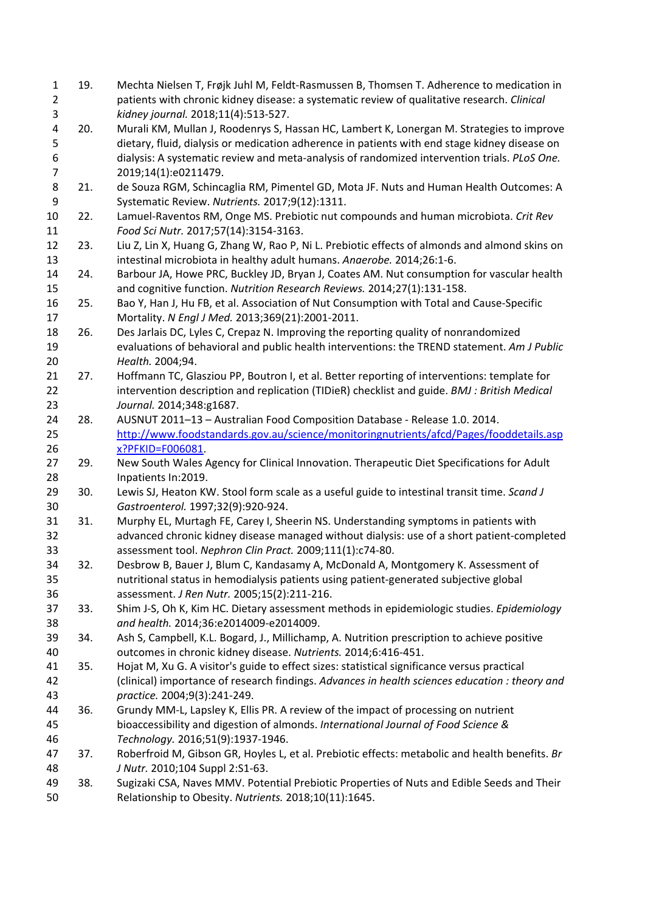| $\mathbf{1}$   | 19. | Mechta Nielsen T, Frøjk Juhl M, Feldt-Rasmussen B, Thomsen T. Adherence to medication in                                                            |
|----------------|-----|-----------------------------------------------------------------------------------------------------------------------------------------------------|
| $\overline{2}$ |     | patients with chronic kidney disease: a systematic review of qualitative research. Clinical                                                         |
| 3              |     | kidney journal. 2018;11(4):513-527.                                                                                                                 |
| 4              | 20. | Murali KM, Mullan J, Roodenrys S, Hassan HC, Lambert K, Lonergan M. Strategies to improve                                                           |
| 5              |     | dietary, fluid, dialysis or medication adherence in patients with end stage kidney disease on                                                       |
| 6              |     | dialysis: A systematic review and meta-analysis of randomized intervention trials. PLoS One.                                                        |
| $\overline{7}$ |     | 2019;14(1):e0211479.                                                                                                                                |
| 8              | 21. | de Souza RGM, Schincaglia RM, Pimentel GD, Mota JF. Nuts and Human Health Outcomes: A                                                               |
| 9              |     | Systematic Review. Nutrients. 2017;9(12):1311.                                                                                                      |
| 10             | 22. | Lamuel-Raventos RM, Onge MS. Prebiotic nut compounds and human microbiota. Crit Rev                                                                 |
| 11             |     | Food Sci Nutr. 2017;57(14):3154-3163.                                                                                                               |
| 12             | 23. | Liu Z, Lin X, Huang G, Zhang W, Rao P, Ni L. Prebiotic effects of almonds and almond skins on                                                       |
| 13             |     | intestinal microbiota in healthy adult humans. Anaerobe. 2014;26:1-6.                                                                               |
| 14             | 24. | Barbour JA, Howe PRC, Buckley JD, Bryan J, Coates AM. Nut consumption for vascular health                                                           |
| 15             |     | and cognitive function. Nutrition Research Reviews. 2014;27(1):131-158.                                                                             |
| 16             | 25. | Bao Y, Han J, Hu FB, et al. Association of Nut Consumption with Total and Cause-Specific                                                            |
| 17             |     | Mortality. N Engl J Med. 2013;369(21):2001-2011.                                                                                                    |
| 18             | 26. | Des Jarlais DC, Lyles C, Crepaz N. Improving the reporting quality of nonrandomized                                                                 |
| 19             |     | evaluations of behavioral and public health interventions: the TREND statement. Am J Public                                                         |
| 20             |     | Health. 2004;94.                                                                                                                                    |
| 21             | 27. | Hoffmann TC, Glasziou PP, Boutron I, et al. Better reporting of interventions: template for                                                         |
| 22             |     | intervention description and replication (TIDieR) checklist and guide. BMJ: British Medical                                                         |
| 23             |     | Journal. 2014;348:g1687.                                                                                                                            |
| 24             | 28. | AUSNUT 2011-13 - Australian Food Composition Database - Release 1.0. 2014.                                                                          |
| 25             |     | http://www.foodstandards.gov.au/science/monitoringnutrients/afcd/Pages/fooddetails.asp                                                              |
| 26             |     | x?PFKID=F006081.                                                                                                                                    |
| 27             | 29. | New South Wales Agency for Clinical Innovation. Therapeutic Diet Specifications for Adult                                                           |
| 28             |     | Inpatients In:2019.                                                                                                                                 |
| 29             | 30. | Lewis SJ, Heaton KW. Stool form scale as a useful guide to intestinal transit time. Scand J                                                         |
| 30             |     | Gastroenterol. 1997;32(9):920-924.                                                                                                                  |
| 31             | 31. | Murphy EL, Murtagh FE, Carey I, Sheerin NS. Understanding symptoms in patients with                                                                 |
| 32             |     | advanced chronic kidney disease managed without dialysis: use of a short patient-completed                                                          |
| 33             |     | assessment tool. Nephron Clin Pract. 2009;111(1):c74-80.                                                                                            |
| 34             | 32. | Desbrow B, Bauer J, Blum C, Kandasamy A, McDonald A, Montgomery K. Assessment of                                                                    |
| 35             |     | nutritional status in hemodialysis patients using patient-generated subjective global                                                               |
| 36             |     | assessment. J Ren Nutr. 2005;15(2):211-216.                                                                                                         |
| 37             | 33. | Shim J-S, Oh K, Kim HC. Dietary assessment methods in epidemiologic studies. Epidemiology                                                           |
| 38             |     | and health. 2014;36:e2014009-e2014009.                                                                                                              |
| 39             | 34. | Ash S, Campbell, K.L. Bogard, J., Millichamp, A. Nutrition prescription to achieve positive                                                         |
| 40             |     | outcomes in chronic kidney disease. Nutrients. 2014;6:416-451.                                                                                      |
| 41             | 35. | Hojat M, Xu G. A visitor's guide to effect sizes: statistical significance versus practical                                                         |
| 42             |     | (clinical) importance of research findings. Advances in health sciences education : theory and                                                      |
| 43             |     | practice. 2004;9(3):241-249.                                                                                                                        |
| 44             | 36. | Grundy MM-L, Lapsley K, Ellis PR. A review of the impact of processing on nutrient                                                                  |
| 45             |     | bioaccessibility and digestion of almonds. International Journal of Food Science &                                                                  |
| 46             |     | Technology. 2016;51(9):1937-1946.                                                                                                                   |
| 47             | 37. | Roberfroid M, Gibson GR, Hoyles L, et al. Prebiotic effects: metabolic and health benefits. Br                                                      |
| 48             |     | J Nutr. 2010;104 Suppl 2:S1-63.                                                                                                                     |
| 49<br>50       | 38. | Sugizaki CSA, Naves MMV. Potential Prebiotic Properties of Nuts and Edible Seeds and Their<br>Relationship to Obesity. Nutrients. 2018;10(11):1645. |
|                |     |                                                                                                                                                     |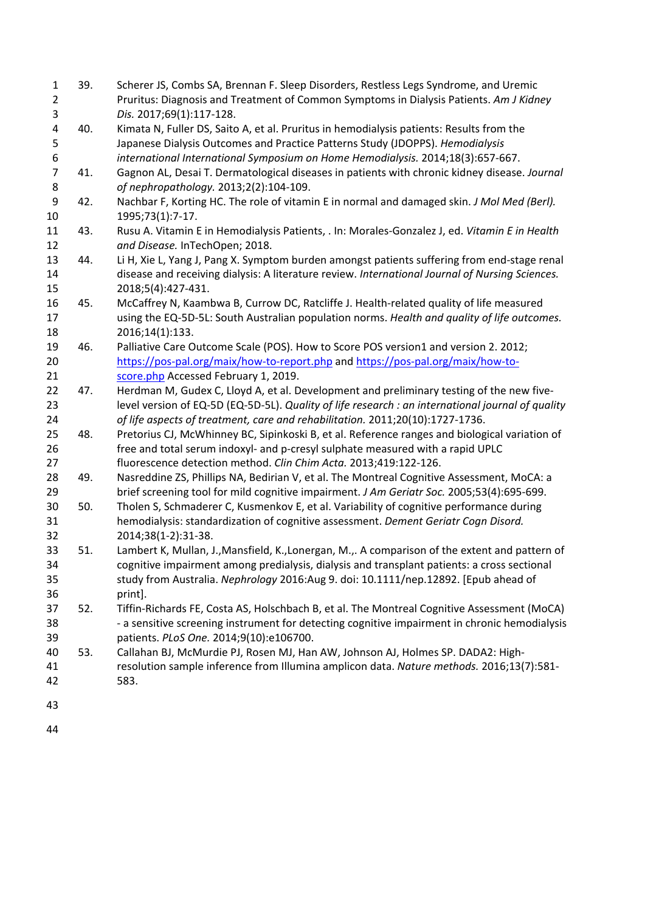| 1<br>$\overline{2}$ | 39. | Scherer JS, Combs SA, Brennan F. Sleep Disorders, Restless Legs Syndrome, and Uremic<br>Pruritus: Diagnosis and Treatment of Common Symptoms in Dialysis Patients. Am J Kidney |
|---------------------|-----|--------------------------------------------------------------------------------------------------------------------------------------------------------------------------------|
| 3                   |     | Dis. 2017;69(1):117-128.                                                                                                                                                       |
| 4                   | 40. | Kimata N, Fuller DS, Saito A, et al. Pruritus in hemodialysis patients: Results from the                                                                                       |
| 5                   |     | Japanese Dialysis Outcomes and Practice Patterns Study (JDOPPS). Hemodialysis                                                                                                  |
| 6                   |     | international International Symposium on Home Hemodialysis. 2014;18(3):657-667.                                                                                                |
| $\overline{7}$      | 41. | Gagnon AL, Desai T. Dermatological diseases in patients with chronic kidney disease. Journal                                                                                   |
| 8                   |     | of nephropathology. 2013;2(2):104-109.                                                                                                                                         |
| 9                   | 42. | Nachbar F, Korting HC. The role of vitamin E in normal and damaged skin. J Mol Med (Berl).                                                                                     |
| 10                  |     | 1995;73(1):7-17.                                                                                                                                                               |
| 11                  | 43. | Rusu A. Vitamin E in Hemodialysis Patients, . In: Morales-Gonzalez J, ed. Vitamin E in Health                                                                                  |
| 12                  |     | and Disease. InTechOpen; 2018.                                                                                                                                                 |
| 13                  | 44. | Li H, Xie L, Yang J, Pang X. Symptom burden amongst patients suffering from end-stage renal                                                                                    |
| 14                  |     | disease and receiving dialysis: A literature review. International Journal of Nursing Sciences.                                                                                |
| 15                  |     | 2018;5(4):427-431.                                                                                                                                                             |
| 16                  | 45. | McCaffrey N, Kaambwa B, Currow DC, Ratcliffe J. Health-related quality of life measured                                                                                        |
| 17                  |     | using the EQ-5D-5L: South Australian population norms. Health and quality of life outcomes.                                                                                    |
| 18                  |     | 2016;14(1):133.                                                                                                                                                                |
| 19                  | 46. | Palliative Care Outcome Scale (POS). How to Score POS version1 and version 2. 2012;                                                                                            |
| 20                  |     | https://pos-pal.org/maix/how-to-report.php and https://pos-pal.org/maix/how-to-                                                                                                |
| 21                  |     | score.php Accessed February 1, 2019.                                                                                                                                           |
| 22                  | 47. | Herdman M, Gudex C, Lloyd A, et al. Development and preliminary testing of the new five-                                                                                       |
| 23                  |     | level version of EQ-5D (EQ-5D-5L). Quality of life research : an international journal of quality                                                                              |
| 24                  |     | of life aspects of treatment, care and rehabilitation. 2011;20(10):1727-1736.                                                                                                  |
| 25                  | 48. | Pretorius CJ, McWhinney BC, Sipinkoski B, et al. Reference ranges and biological variation of                                                                                  |
| 26                  |     | free and total serum indoxyl- and p-cresyl sulphate measured with a rapid UPLC                                                                                                 |
| 27                  |     | fluorescence detection method. Clin Chim Acta. 2013;419:122-126.                                                                                                               |
| 28                  | 49. | Nasreddine ZS, Phillips NA, Bedirian V, et al. The Montreal Cognitive Assessment, MoCA: a                                                                                      |
| 29                  |     | brief screening tool for mild cognitive impairment. J Am Geriatr Soc. 2005;53(4):695-699.                                                                                      |
| 30                  | 50. | Tholen S, Schmaderer C, Kusmenkov E, et al. Variability of cognitive performance during                                                                                        |
| 31                  |     | hemodialysis: standardization of cognitive assessment. Dement Geriatr Cogn Disord.                                                                                             |
| 32                  |     | 2014;38(1-2):31-38.                                                                                                                                                            |
| 33                  | 51. | Lambert K, Mullan, J., Mansfield, K., Lonergan, M.,. A comparison of the extent and pattern of                                                                                 |
| 34                  |     | cognitive impairment among predialysis, dialysis and transplant patients: a cross sectional                                                                                    |
| 35                  |     | study from Australia. Nephrology 2016:Aug 9. doi: 10.1111/nep.12892. [Epub ahead of                                                                                            |
| 36                  |     | print].                                                                                                                                                                        |
| 37                  | 52. | Tiffin-Richards FE, Costa AS, Holschbach B, et al. The Montreal Cognitive Assessment (MoCA)                                                                                    |
| 38                  |     | - a sensitive screening instrument for detecting cognitive impairment in chronic hemodialysis                                                                                  |
| 39                  |     | patients. PLoS One. 2014;9(10):e106700.                                                                                                                                        |
| 40                  | 53. | Callahan BJ, McMurdie PJ, Rosen MJ, Han AW, Johnson AJ, Holmes SP. DADA2: High-                                                                                                |
| 41                  |     | resolution sample inference from Illumina amplicon data. Nature methods. 2016;13(7):581-                                                                                       |
| 42                  |     | 583.                                                                                                                                                                           |
| 43                  |     |                                                                                                                                                                                |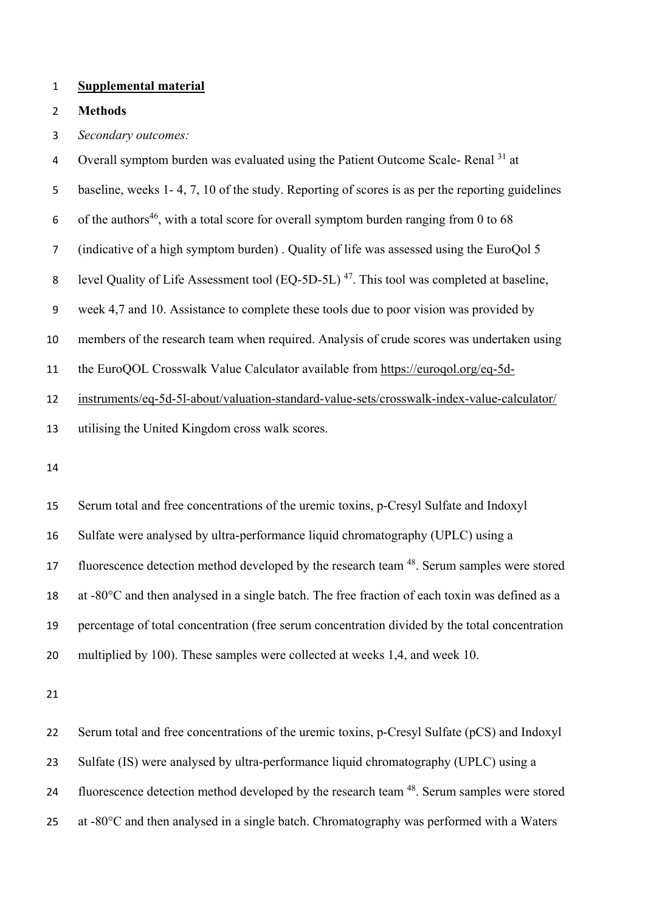#### **Supplemental material**

**Methods**

- *Secondary outcomes:*
- 4 Overall symptom burden was evaluated using the Patient Outcome Scale- Renal <sup>31</sup> at
- baseline, weeks 1- 4, 7, 10 of the study. Reporting of scores is as per the reporting guidelines
- 6 of the authors<sup>46</sup>, with a total score for overall symptom burden ranging from 0 to 68
- (indicative of a high symptom burden) . Quality of life was assessed using the EuroQol 5
- 8 level Quality of Life Assessment tool (EQ-5D-5L)<sup>47</sup>. This tool was completed at baseline,
- week 4,7 and 10. Assistance to complete these tools due to poor vision was provided by
- members of the research team when required. Analysis of crude scores was undertaken using
- the EuroQOL Crosswalk Value Calculator available from [https://euroqol.org/eq-5d-](https://euroqol.org/eq-5d-instruments/eq-5d-5l-about/valuation-standard-value-sets/crosswalk-index-value-calculator/)
- [instruments/eq-5d-5l-about/valuation-standard-value-sets/crosswalk-index-value-calculator/](https://euroqol.org/eq-5d-instruments/eq-5d-5l-about/valuation-standard-value-sets/crosswalk-index-value-calculator/)
- utilising the United Kingdom cross walk scores.
- 

 Serum total and free concentrations of the uremic toxins, p-Cresyl Sulfate and Indoxyl Sulfate were analysed by ultra-performance liquid chromatography (UPLC) using a 17 fluorescence detection method developed by the research team <sup>48</sup>. Serum samples were stored at -80°C and then analysed in a single batch. The free fraction of each toxin was defined as a percentage of total concentration (free serum concentration divided by the total concentration multiplied by 100). These samples were collected at weeks 1,4, and week 10.

 Serum total and free concentrations of the uremic toxins, p-Cresyl Sulfate (pCS) and Indoxyl Sulfate (IS) were analysed by ultra-performance liquid chromatography (UPLC) using a 24 fluorescence detection method developed by the research team <sup>48</sup>. Serum samples were stored 25 at -80 $^{\circ}$ C and then analysed in a single batch. Chromatography was performed with a Waters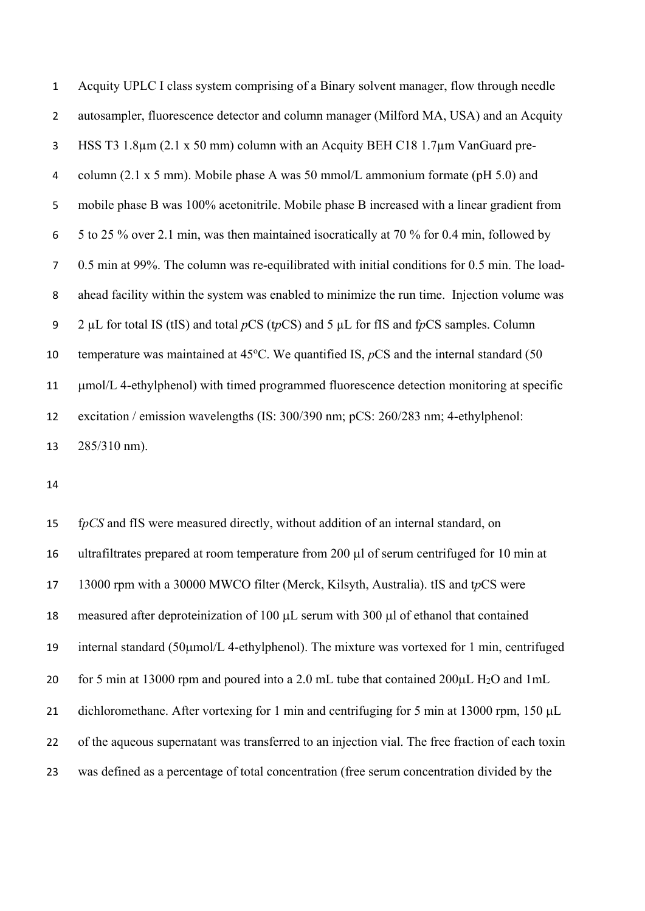| $\mathbf{1}$   | Acquity UPLC I class system comprising of a Binary solvent manager, flow through needle       |
|----------------|-----------------------------------------------------------------------------------------------|
| $\overline{2}$ | autosampler, fluorescence detector and column manager (Milford MA, USA) and an Acquity        |
| 3              | HSS T3 1.8 $\mu$ m (2.1 x 50 mm) column with an Acquity BEH C18 1.7 $\mu$ m VanGuard pre-     |
| 4              | column (2.1 x 5 mm). Mobile phase A was 50 mmol/L ammonium formate (pH 5.0) and               |
| 5              | mobile phase B was 100% acetonitrile. Mobile phase B increased with a linear gradient from    |
| 6              | 5 to 25 % over 2.1 min, was then maintained isocratically at 70 % for 0.4 min, followed by    |
| $\overline{7}$ | 0.5 min at 99%. The column was re-equilibrated with initial conditions for 0.5 min. The load- |
| 8              | ahead facility within the system was enabled to minimize the run time. Injection volume was   |
| 9              | 2 µL for total IS (tIS) and total $pCS$ (tpCS) and 5 µL for fIS and fpCS samples. Column      |
| 10             | temperature was maintained at 45°C. We quantified IS, $pCS$ and the internal standard (50     |
| 11             | umol/L 4-ethylphenol) with timed programmed fluorescence detection monitoring at specific     |
| 12             | excitation / emission wavelengths (IS: 300/390 nm; pCS: 260/283 nm; 4-ethylphenol:            |
| 13             | 285/310 nm).                                                                                  |

 f*pCS* and fIS were measured directly, without addition of an internal standard, on ultrafiltrates prepared at room temperature from 200 µl of serum centrifuged for 10 min at 13000 rpm with a 30000 MWCO filter (Merck, Kilsyth, Australia). tIS and t*p*CS were 18 measured after deproteinization of 100  $\mu$ L serum with 300  $\mu$ l of ethanol that contained internal standard (50µmol/L 4-ethylphenol). The mixture was vortexed for 1 min, centrifuged for 5 min at 13000 rpm and poured into a 2.0 mL tube that contained 200µL H2O and 1mL 21 dichloromethane. After vortexing for 1 min and centrifuging for 5 min at 13000 rpm, 150 µL 22 of the aqueous supernatant was transferred to an injection vial. The free fraction of each toxin was defined as a percentage of total concentration (free serum concentration divided by the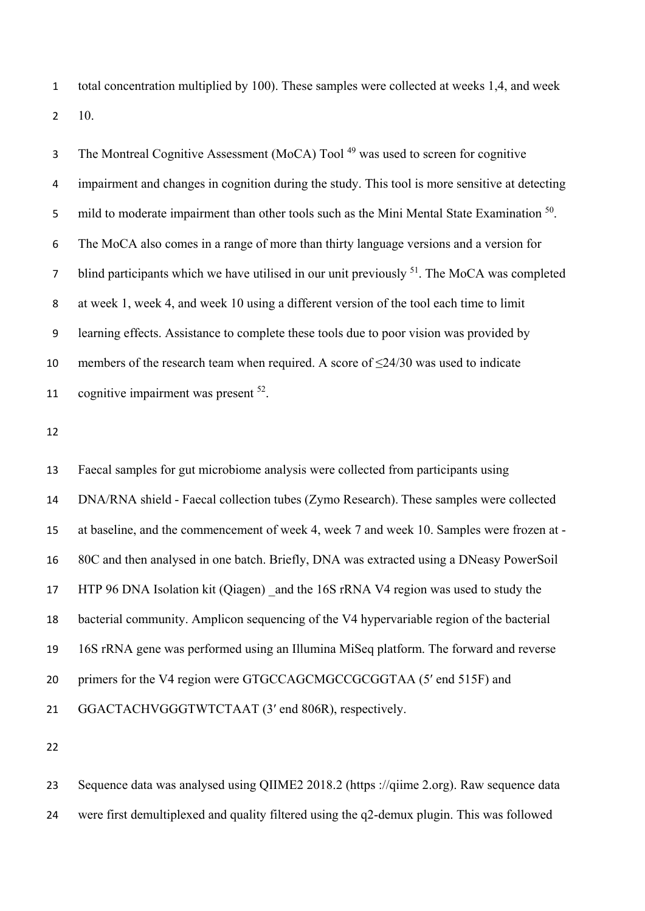total concentration multiplied by 100). These samples were collected at weeks 1,4, and week 10.

3 The Montreal Cognitive Assessment (MoCA) Tool<sup>49</sup> was used to screen for cognitive impairment and changes in cognition during the study. This tool is more sensitive at detecting 5 mild to moderate impairment than other tools such as the Mini Mental State Examination . The MoCA also comes in a range of more than thirty language versions and a version for blind participants which we have utilised in our unit previously . The MoCA was completed at week 1, week 4, and week 10 using a different version of the tool each time to limit learning effects. Assistance to complete these tools due to poor vision was provided by members of the research team when required. A score of ≤24/30 was used to indicate 11 cognitive impairment was present .

 Faecal samples for gut microbiome analysis were collected from participants using DNA/RNA shield - Faecal collection tubes (Zymo Research). These samples were collected at baseline, and the commencement of week 4, week 7 and week 10. Samples were frozen at - 80C and then analysed in one batch. Briefly, DNA was extracted using a DNeasy PowerSoil HTP 96 DNA Isolation kit (Qiagen) \_and the 16S rRNA V4 region was used to study the bacterial community. Amplicon sequencing of the V4 hypervariable region of the bacterial 16S rRNA gene was performed using an Illumina MiSeq platform. The forward and reverse primers for the V4 region were GTGCCAGCMGCCGCGGTAA (5′ end 515F) and GGACTACHVGGGTWTCTAAT (3′ end 806R), respectively.

 Sequence data was analysed using QIIME2 2018.2 (https ://qiime 2.org). Raw sequence data were first demultiplexed and quality filtered using the q2-demux plugin. This was followed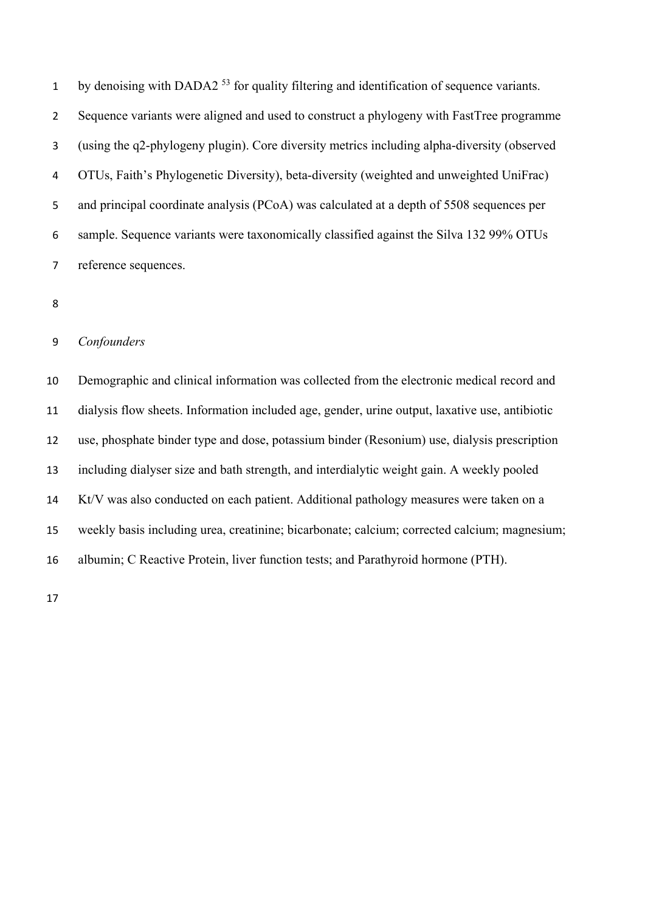1 by denoising with DADA2 for quality filtering and identification of sequence variants. Sequence variants were aligned and used to construct a phylogeny with FastTree programme (using the q2-phylogeny plugin). Core diversity metrics including alpha-diversity (observed OTUs, Faith's Phylogenetic Diversity), beta-diversity (weighted and unweighted UniFrac) and principal coordinate analysis (PCoA) was calculated at a depth of 5508 sequences per sample. Sequence variants were taxonomically classified against the Silva 132 99% OTUs reference sequences.

#### *Confounders*

 Demographic and clinical information was collected from the electronic medical record and dialysis flow sheets. Information included age, gender, urine output, laxative use, antibiotic use, phosphate binder type and dose, potassium binder (Resonium) use, dialysis prescription including dialyser size and bath strength, and interdialytic weight gain. A weekly pooled Kt/V was also conducted on each patient. Additional pathology measures were taken on a weekly basis including urea, creatinine; bicarbonate; calcium; corrected calcium; magnesium; albumin; C Reactive Protein, liver function tests; and Parathyroid hormone (PTH).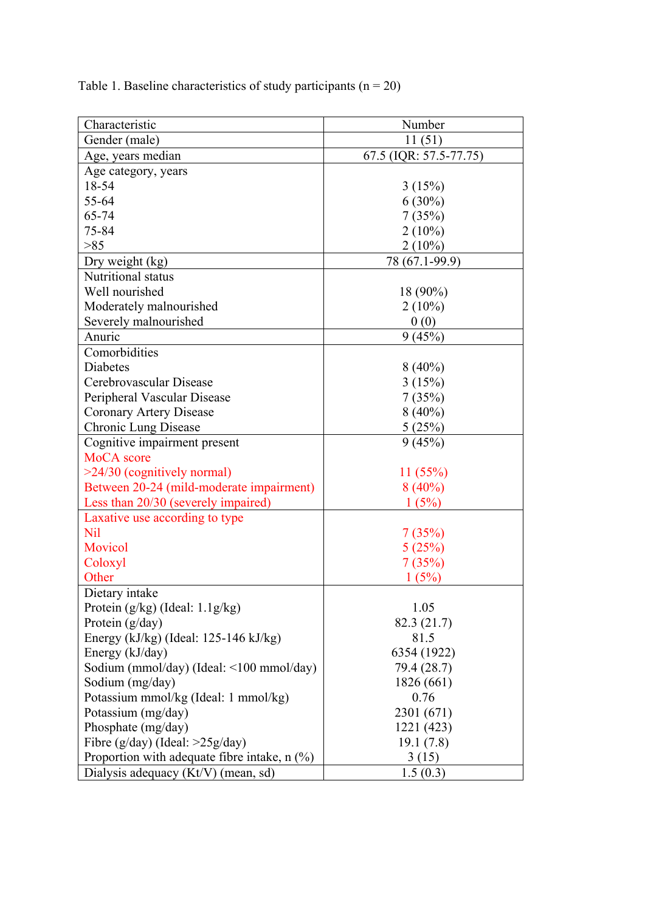Table 1. Baseline characteristics of study participants  $(n = 20)$ 

| Characteristic                                                                                                                                                                                                                                                                                                                                                                                                 | Number                                                                                                                                        |
|----------------------------------------------------------------------------------------------------------------------------------------------------------------------------------------------------------------------------------------------------------------------------------------------------------------------------------------------------------------------------------------------------------------|-----------------------------------------------------------------------------------------------------------------------------------------------|
| Gender (male)                                                                                                                                                                                                                                                                                                                                                                                                  | 11(51)                                                                                                                                        |
| Age, years median                                                                                                                                                                                                                                                                                                                                                                                              | 67.5 (IQR: 57.5-77.75)                                                                                                                        |
| Age category, years                                                                                                                                                                                                                                                                                                                                                                                            |                                                                                                                                               |
| 18-54                                                                                                                                                                                                                                                                                                                                                                                                          | 3(15%)                                                                                                                                        |
| 55-64                                                                                                                                                                                                                                                                                                                                                                                                          | $6(30\%)$                                                                                                                                     |
| 65-74                                                                                                                                                                                                                                                                                                                                                                                                          | 7(35%)                                                                                                                                        |
| 75-84                                                                                                                                                                                                                                                                                                                                                                                                          |                                                                                                                                               |
| >85                                                                                                                                                                                                                                                                                                                                                                                                            | $2(10\%)$                                                                                                                                     |
|                                                                                                                                                                                                                                                                                                                                                                                                                | $2(10\%)$                                                                                                                                     |
| Dry weight (kg)<br>Nutritional status                                                                                                                                                                                                                                                                                                                                                                          | 78 (67.1-99.9)                                                                                                                                |
|                                                                                                                                                                                                                                                                                                                                                                                                                |                                                                                                                                               |
| Well nourished                                                                                                                                                                                                                                                                                                                                                                                                 | 18 (90%)                                                                                                                                      |
| Moderately malnourished                                                                                                                                                                                                                                                                                                                                                                                        | $2(10\%)$                                                                                                                                     |
| Severely malnourished                                                                                                                                                                                                                                                                                                                                                                                          | 0(0)                                                                                                                                          |
| Anuric                                                                                                                                                                                                                                                                                                                                                                                                         | 9(45%)                                                                                                                                        |
| Comorbidities                                                                                                                                                                                                                                                                                                                                                                                                  |                                                                                                                                               |
| <b>Diabetes</b>                                                                                                                                                                                                                                                                                                                                                                                                | $8(40\%)$                                                                                                                                     |
| Cerebrovascular Disease                                                                                                                                                                                                                                                                                                                                                                                        | 3(15%)                                                                                                                                        |
| Peripheral Vascular Disease                                                                                                                                                                                                                                                                                                                                                                                    | 7(35%)                                                                                                                                        |
| <b>Coronary Artery Disease</b>                                                                                                                                                                                                                                                                                                                                                                                 | $8(40\%)$                                                                                                                                     |
| Chronic Lung Disease                                                                                                                                                                                                                                                                                                                                                                                           | 5(25%)                                                                                                                                        |
| Cognitive impairment present                                                                                                                                                                                                                                                                                                                                                                                   | 9(45%)                                                                                                                                        |
| MoCA score                                                                                                                                                                                                                                                                                                                                                                                                     |                                                                                                                                               |
| $>24/30$ (cognitively normal)                                                                                                                                                                                                                                                                                                                                                                                  | 11(55%)                                                                                                                                       |
| Between 20-24 (mild-moderate impairment)                                                                                                                                                                                                                                                                                                                                                                       | $8(40\%)$                                                                                                                                     |
| Less than 20/30 (severely impaired)                                                                                                                                                                                                                                                                                                                                                                            | 1(5%)                                                                                                                                         |
| Laxative use according to type                                                                                                                                                                                                                                                                                                                                                                                 |                                                                                                                                               |
| <b>Nil</b>                                                                                                                                                                                                                                                                                                                                                                                                     | 7(35%)                                                                                                                                        |
| Movicol                                                                                                                                                                                                                                                                                                                                                                                                        | 5(25%)                                                                                                                                        |
| Coloxyl                                                                                                                                                                                                                                                                                                                                                                                                        | 7(35%)                                                                                                                                        |
| Other                                                                                                                                                                                                                                                                                                                                                                                                          | 1(5%)                                                                                                                                         |
| Dietary intake                                                                                                                                                                                                                                                                                                                                                                                                 |                                                                                                                                               |
|                                                                                                                                                                                                                                                                                                                                                                                                                |                                                                                                                                               |
|                                                                                                                                                                                                                                                                                                                                                                                                                |                                                                                                                                               |
|                                                                                                                                                                                                                                                                                                                                                                                                                |                                                                                                                                               |
|                                                                                                                                                                                                                                                                                                                                                                                                                |                                                                                                                                               |
|                                                                                                                                                                                                                                                                                                                                                                                                                |                                                                                                                                               |
|                                                                                                                                                                                                                                                                                                                                                                                                                |                                                                                                                                               |
|                                                                                                                                                                                                                                                                                                                                                                                                                |                                                                                                                                               |
|                                                                                                                                                                                                                                                                                                                                                                                                                |                                                                                                                                               |
|                                                                                                                                                                                                                                                                                                                                                                                                                |                                                                                                                                               |
|                                                                                                                                                                                                                                                                                                                                                                                                                |                                                                                                                                               |
|                                                                                                                                                                                                                                                                                                                                                                                                                |                                                                                                                                               |
|                                                                                                                                                                                                                                                                                                                                                                                                                |                                                                                                                                               |
| Protein $(g/kg)$ (Ideal: $1.1g/kg$ )<br>Protein $(g/day)$<br>Energy (kJ/kg) (Ideal: 125-146 kJ/kg)<br>Energy (kJ/day)<br>Sodium (mmol/day) (Ideal: <100 mmol/day)<br>Sodium (mg/day)<br>Potassium mmol/kg (Ideal: 1 mmol/kg)<br>Potassium (mg/day)<br>Phosphate (mg/day)<br>Fibre ( $g/day$ ) (Ideal: >25 $g/day$ )<br>Proportion with adequate fibre intake, $n$ (%)<br>Dialysis adequacy $(Kt/V)$ (mean, sd) | 1.05<br>82.3 (21.7)<br>81.5<br>6354 (1922)<br>79.4 (28.7)<br>1826 (661)<br>0.76<br>2301 (671)<br>1221 (423)<br>19.1(7.8)<br>3(15)<br>1.5(0.3) |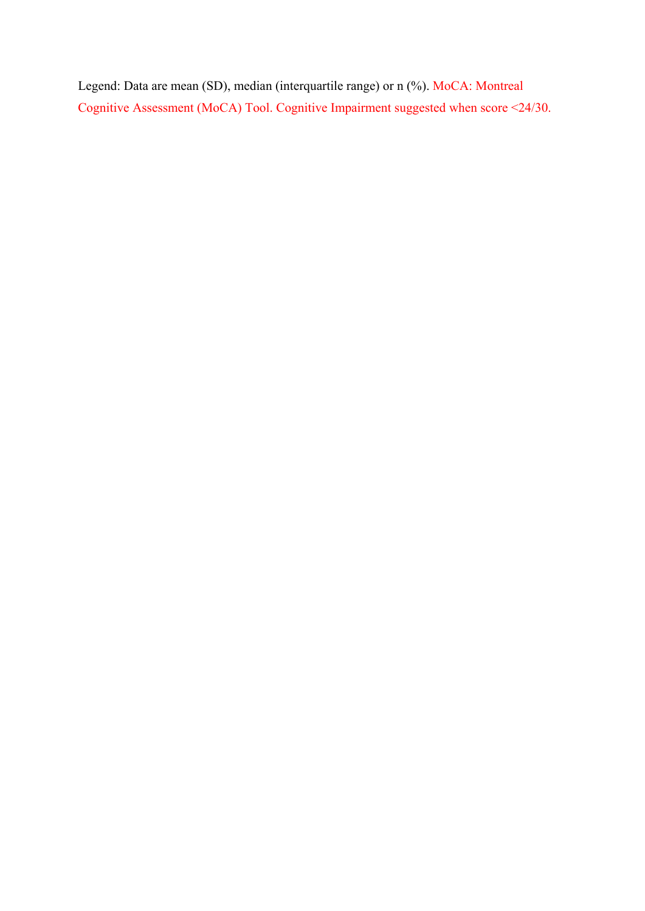Legend: Data are mean (SD), median (interquartile range) or n (%). MoCA: Montreal Cognitive Assessment (MoCA) Tool. Cognitive Impairment suggested when score <24/30.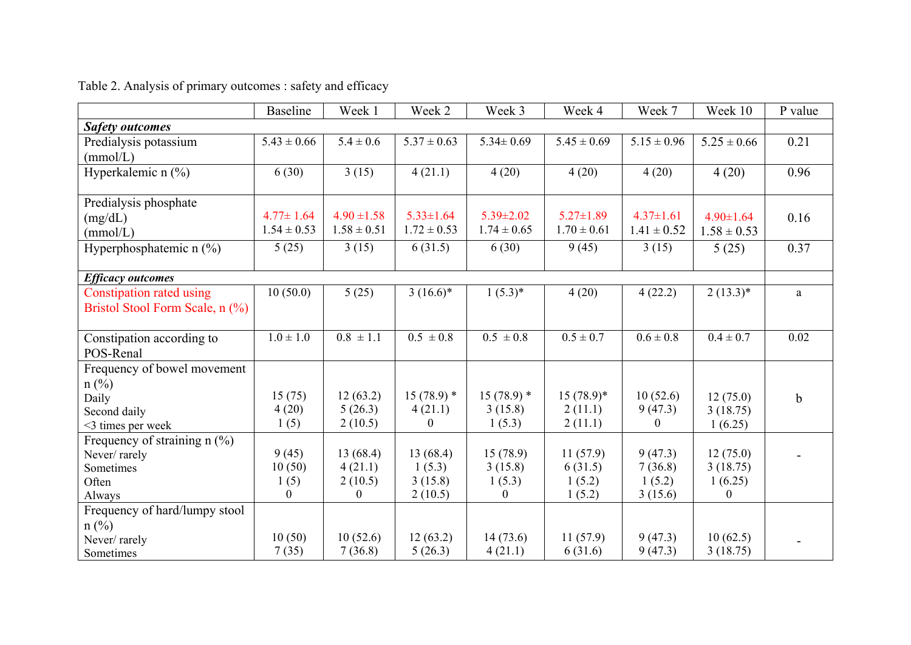|                                           | <b>Baseline</b> | Week 1          | Week 2          | Week 3           | Week 4          | Week 7           | Week 10          | P value     |
|-------------------------------------------|-----------------|-----------------|-----------------|------------------|-----------------|------------------|------------------|-------------|
| <b>Safety outcomes</b>                    |                 |                 |                 |                  |                 |                  |                  |             |
| Predialysis potassium                     | $5.43 \pm 0.66$ | $5.4 \pm 0.6$   | $5.37 \pm 0.63$ | $5.34 \pm 0.69$  | $5.45 \pm 0.69$ | $5.15 \pm 0.96$  | $5.25 \pm 0.66$  | 0.21        |
| (mmol/L)                                  |                 |                 |                 |                  |                 |                  |                  |             |
| Hyperkalemic n (%)                        | 6(30)           | 3(15)           | 4(21.1)         | 4(20)            | 4(20)           | 4(20)            | 4(20)            | 0.96        |
|                                           |                 |                 |                 |                  |                 |                  |                  |             |
| Predialysis phosphate                     |                 |                 |                 |                  |                 |                  |                  |             |
| (mg/dL)                                   | $4.77 \pm 1.64$ | $4.90 \pm 1.58$ | $5.33 \pm 1.64$ | $5.39 \pm 2.02$  | $5.27 \pm 1.89$ | $4.37 \pm 1.61$  | $4.90 \pm 1.64$  | 0.16        |
| (mmol/L)                                  | $1.54 \pm 0.53$ | $1.58 \pm 0.51$ | $1.72 \pm 0.53$ | $1.74 \pm 0.65$  | $1.70 \pm 0.61$ | $1.41 \pm 0.52$  | $1.58 \pm 0.53$  |             |
| Hyperphosphatemic n (%)                   | 5(25)           | 3(15)           | 6(31.5)         | 6(30)            | 9(45)           | 3(15)            | 5(25)            | 0.37        |
|                                           |                 |                 |                 |                  |                 |                  |                  |             |
| <b>Efficacy outcomes</b>                  |                 |                 |                 |                  |                 |                  |                  |             |
| Constipation rated using                  | 10(50.0)        | 5(25)           | $3(16.6)^*$     | $1(5.3)^{*}$     | 4(20)           | 4(22.2)          | $2(13.3)^*$      | a           |
| Bristol Stool Form Scale, n (%)           |                 |                 |                 |                  |                 |                  |                  |             |
|                                           |                 |                 |                 |                  |                 |                  |                  |             |
| Constipation according to                 | $1.0 \pm 1.0$   | $0.8 \pm 1.1$   | $0.5 \pm 0.8$   | $0.5 \pm 0.8$    | $0.5 \pm 0.7$   | $0.6 \pm 0.8$    | $0.4 \pm 0.7$    | 0.02        |
| POS-Renal                                 |                 |                 |                 |                  |                 |                  |                  |             |
| Frequency of bowel movement               |                 |                 |                 |                  |                 |                  |                  |             |
| $n$ (%)                                   |                 |                 |                 |                  |                 |                  |                  |             |
| Daily                                     | 15(75)          | 12(63.2)        | $15(78.9)$ *    | $15(78.9)$ *     | $15(78.9)^*$    | 10(52.6)         | 12(75.0)         | $\mathbf b$ |
| Second daily                              | 4(20)           | 5(26.3)         | 4(21.1)         | 3(15.8)          | 2(11.1)         | 9(47.3)          | 3(18.75)         |             |
| <3 times per week                         | 1(5)            | 2(10.5)         | 0               | 1(5.3)           | 2(11.1)         | $\boldsymbol{0}$ | 1(6.25)          |             |
| Frequency of straining n $\overline{(*)}$ |                 |                 |                 |                  |                 |                  |                  |             |
| Never/rarely                              | 9(45)           | 13(68.4)        | 13(68.4)        | 15(78.9)         | 11(57.9)        | 9(47.3)          | 12(75.0)         |             |
| Sometimes                                 | 10(50)          | 4(21.1)         | 1(5.3)          | 3(15.8)          | 6(31.5)         | 7(36.8)          | 3(18.75)         |             |
| Often                                     | 1(5)            | 2(10.5)         | 3(15.8)         | 1(5.3)           | 1(5.2)          | 1(5.2)           | 1(6.25)          |             |
| Always                                    | $\Omega$        | $\mathbf{0}$    | 2(10.5)         | $\boldsymbol{0}$ | 1(5.2)          | 3(15.6)          | $\boldsymbol{0}$ |             |
| Frequency of hard/lumpy stool             |                 |                 |                 |                  |                 |                  |                  |             |
| $n$ (%)                                   | 10(50)          | 10(52.6)        | 12(63.2)        | 14(73.6)         | 11(57.9)        | 9(47.3)          | 10(62.5)         |             |
| Never/rarely                              | 7(35)           | 7(36.8)         | 5(26.3)         | 4(21.1)          | 6(31.6)         | 9(47.3)          | 3(18.75)         |             |
| Sometimes                                 |                 |                 |                 |                  |                 |                  |                  |             |

Table 2. Analysis of primary outcomes : safety and efficacy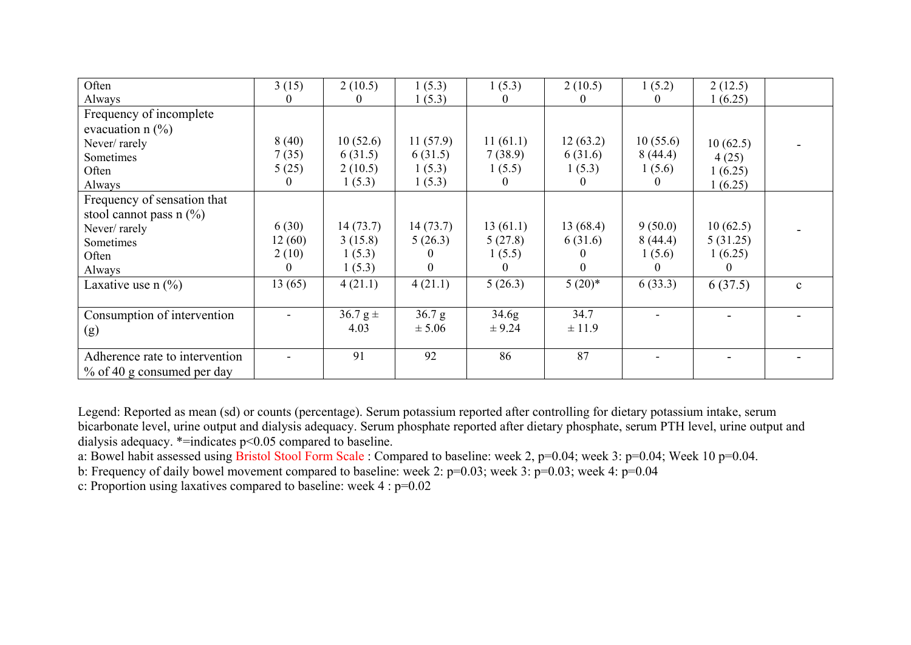| Often                          | 3(15)  | 2(10.5)      | 1(5.3)   | 1(5.3)            | 2(10.5)  | 1(5.2)   | 2(12.5)  |              |
|--------------------------------|--------|--------------|----------|-------------------|----------|----------|----------|--------------|
| Always                         |        | 0            | 1(5.3)   |                   |          |          | 1(6.25)  |              |
| Frequency of incomplete        |        |              |          |                   |          |          |          |              |
| evacuation $n$ (%)             |        |              |          |                   |          |          |          |              |
| Never/rarely                   | 8(40)  | 10(52.6)     | 11(57.9) | 11(61.1)          | 12(63.2) | 10(55.6) | 10(62.5) |              |
| Sometimes                      | 7(35)  | 6(31.5)      | 6(31.5)  | 7(38.9)           | 6(31.6)  | 8(44.4)  | 4(25)    |              |
| Often                          | 5(25)  | 2(10.5)      | 1(5.3)   | 1(5.5)            | 1(5.3)   | 1(5.6)   | 1(6.25)  |              |
| Always                         |        | 1(5.3)       | 1(5.3)   | $\mathbf{U}$      | O        | $\theta$ | 1(6.25)  |              |
| Frequency of sensation that    |        |              |          |                   |          |          |          |              |
| stool cannot pass $n$ (%)      |        |              |          |                   |          |          |          |              |
| Never/rarely                   | 6(30)  | 14(73.7)     | 14(73.7) | 13(61.1)          | 13(68.4) | 9(50.0)  | 10(62.5) |              |
| Sometimes                      | 12(60) | 3(15.8)      | 5(26.3)  | 5(27.8)           | 6(31.6)  | 8(44.4)  | 5(31.25) |              |
| Often                          | 2(10)  | 1(5.3)       |          | 1(5.5)            |          | 1(5.6)   | 1(6.25)  |              |
| Always                         |        | 1(5.3)       |          |                   | 0        |          | O        |              |
| Laxative use $n$ (%)           | 13(65) | 4(21.1)      | 4(21.1)  | 5(26.3)           | $5(20)*$ | 6(33.3)  | 6(37.5)  | $\mathbf{C}$ |
|                                |        |              |          |                   |          |          |          |              |
| Consumption of intervention    |        | $36.7 g \pm$ | 36.7 g   | 34.6 <sub>g</sub> | 34.7     |          |          |              |
| (g)                            |        | 4.03         | ± 5.06   | ± 9.24            | ± 11.9   |          |          |              |
|                                |        |              |          |                   |          |          |          |              |
| Adherence rate to intervention |        | 91           | 92       | 86                | 87       |          |          |              |
| % of 40 g consumed per day     |        |              |          |                   |          |          |          |              |

Legend: Reported as mean (sd) or counts (percentage). Serum potassium reported after controlling for dietary potassium intake, serum bicarbonate level, urine output and dialysis adequacy. Serum phosphate reported after dietary phosphate, serum PTH level, urine output and dialysis adequacy. \*=indicates p<0.05 compared to baseline.

a: Bowel habit assessed using Bristol Stool Form Scale : Compared to baseline: week 2, p=0.04; week 3: p=0.04; Week 10 p=0.04.

b: Frequency of daily bowel movement compared to baseline: week 2: p=0.03; week 3: p=0.03; week 4: p=0.04

c: Proportion using laxatives compared to baseline: week 4 : p=0.02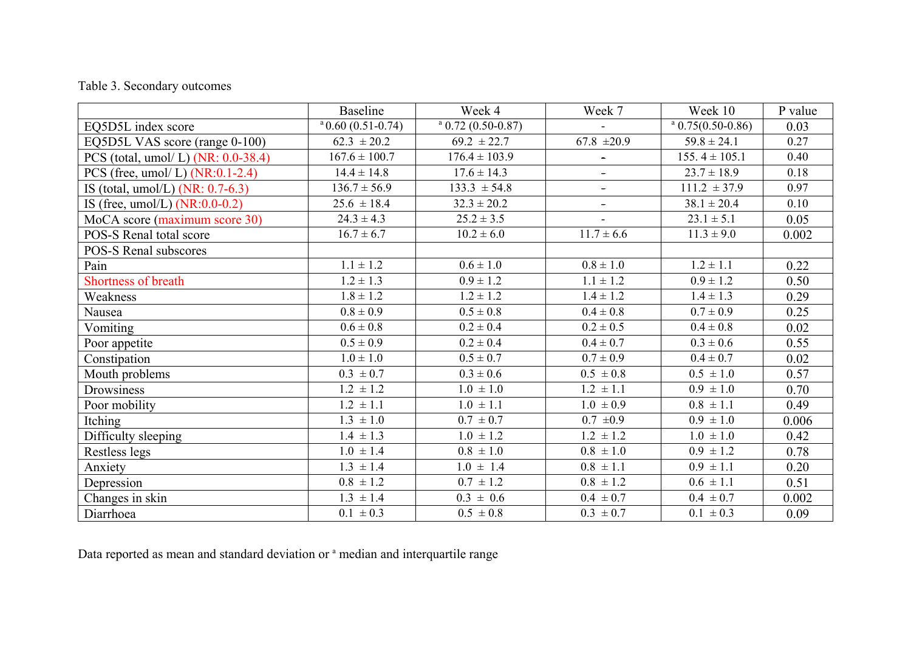# Table 3. Secondary outcomes

|                                    | <b>Baseline</b>             | Week 4                      | Week 7                       | Week 10              | P value |
|------------------------------------|-----------------------------|-----------------------------|------------------------------|----------------------|---------|
| EQ5D5L index score                 | $^{\circ}$ 0.60 (0.51-0.74) | $^{\circ}$ 0.72 (0.50-0.87) |                              | $^a$ 0.75(0.50-0.86) | 0.03    |
| EQ5D5L VAS score (range 0-100)     | $62.3 \pm 20.2$             | $69.2 \pm 22.7$             | 67.8 $\pm 20.9$              | $59.8 \pm 24.1$      | 0.27    |
| PCS (total, umol/L) (NR: 0.0-38.4) | $167.6 \pm 100.7$           | $176.4 \pm 103.9$           | $\blacksquare$               | $155.4 \pm 105.1$    | 0.40    |
| PCS (free, umol/L) $(NR:0.1-2.4)$  | $14.4 \pm 14.8$             | $17.6 \pm 14.3$             | $\qquad \qquad \blacksquare$ | $23.7 \pm 18.9$      | 0.18    |
| IS (total, umol/L) $(NR: 0.7-6.3)$ | $136.7 \pm 56.9$            | $133.3 \pm 54.8$            | $\blacksquare$               | $111.2 \pm 37.9$     | 0.97    |
| IS (free, $umol/L$ ) (NR:0.0-0.2)  | $25.6 \pm 18.4$             | $32.3 \pm 20.2$             | $\blacksquare$               | $38.1 \pm 20.4$      | 0.10    |
| MoCA score (maximum score 30)      | $24.3 \pm 4.3$              | $25.2 \pm 3.5$              |                              | $23.1 \pm 5.1$       | 0.05    |
| POS-S Renal total score            | $16.7 \pm 6.7$              | $10.2 \pm 6.0$              | $11.7 \pm 6.6$               | $11.3 \pm 9.0$       | 0.002   |
| POS-S Renal subscores              |                             |                             |                              |                      |         |
| Pain                               | $1.1 \pm 1.2$               | $0.6 \pm 1.0$               | $0.8 \pm 1.0$                | $1.2 \pm 1.1$        | 0.22    |
| <b>Shortness of breath</b>         | $1.2 \pm 1.3$               | $0.9 \pm 1.2$               | $1.1 \pm 1.2$                | $0.9 \pm 1.2$        | 0.50    |
| Weakness                           | $1.8 \pm 1.2$               | $1.2 \pm 1.2$               | $1.4 \pm 1.2$                | $1.4 \pm 1.3$        | 0.29    |
| Nausea                             | $0.8 \pm 0.9$               | $0.5 \pm 0.8$               | $0.4 \pm 0.8$                | $0.7 \pm 0.9$        | 0.25    |
| Vomiting                           | $0.6 \pm 0.8$               | $0.2 \pm 0.4$               | $0.2 \pm 0.5$                | $0.4 \pm 0.8$        | 0.02    |
| Poor appetite                      | $0.5 \pm 0.9$               | $0.2 \pm 0.4$               | $0.4 \pm 0.7$                | $0.3 \pm 0.6$        | 0.55    |
| Constipation                       | $1.0 \pm 1.0$               | $0.5 \pm 0.7$               | $0.7 \pm 0.9$                | $0.4 \pm 0.7$        | 0.02    |
| Mouth problems                     | $0.3 \pm 0.7$               | $0.3 \pm 0.6$               | $0.5 \pm 0.8$                | $0.5 \pm 1.0$        | 0.57    |
| Drowsiness                         | $1.2 \pm 1.2$               | $1.0 \pm 1.0$               | $1.2 \pm 1.1$                | $0.9 \pm 1.0$        | 0.70    |
| Poor mobility                      | $1.2 \pm 1.1$               | $1.0 \pm 1.1$               | $1.0 \pm 0.9$                | $0.8 \pm 1.1$        | 0.49    |
| Itching                            | $1.3 \pm 1.0$               | $0.7 \pm 0.7$               | $0.7 \pm 0.9$                | $0.9 \pm 1.0$        | 0.006   |
| Difficulty sleeping                | $1.4 \pm 1.3$               | $1.0 \pm 1.2$               | $1.2 \pm 1.2$                | $1.0 \pm 1.0$        | 0.42    |
| Restless legs                      | $1.0 \pm 1.4$               | $0.8 \pm 1.0$               | $0.8~\pm1.0$                 | $0.9 \pm 1.2$        | 0.78    |
| Anxiety                            | $1.3 \pm 1.4$               | $1.0 \pm 1.4$               | $0.8 \pm 1.1$                | $0.9 \pm 1.1$        | 0.20    |
| Depression                         | $0.8 \pm 1.2$               | $0.7 \pm 1.2$               | $0.8 \pm 1.2$                | $0.6 \pm 1.1$        | 0.51    |
| Changes in skin                    | $1.3 \pm 1.4$               | $0.3 \pm 0.6$               | $0.4 \pm 0.7$                | $0.4 \pm 0.7$        | 0.002   |
| Diarrhoea                          | $0.1 \pm 0.3$               | $0.5 \pm 0.8$               | $0.3 \pm 0.7$                | $0.1 \pm 0.3$        | 0.09    |

Data reported as mean and standard deviation or <sup>a</sup> median and interquartile range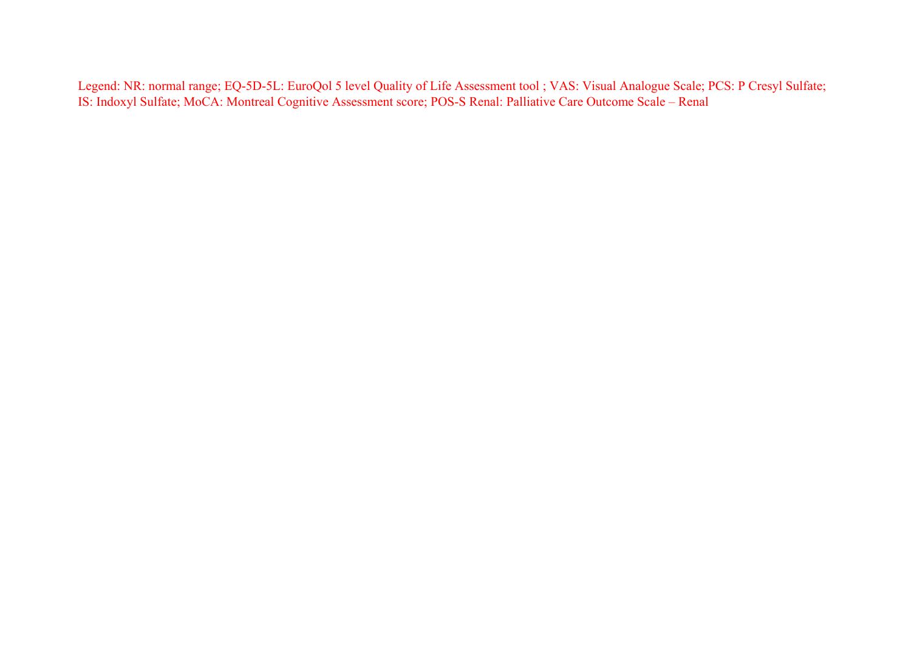Legend: NR: normal range; EQ-5D-5L: EuroQol 5 level Quality of Life Assessment tool ; VAS: Visual Analogue Scale; PCS: P Cresyl Sulfate; IS: Indoxyl Sulfate; MoCA: Montreal Cognitive Assessment score; POS-S Renal: Palliative Care Outcome Scale – Renal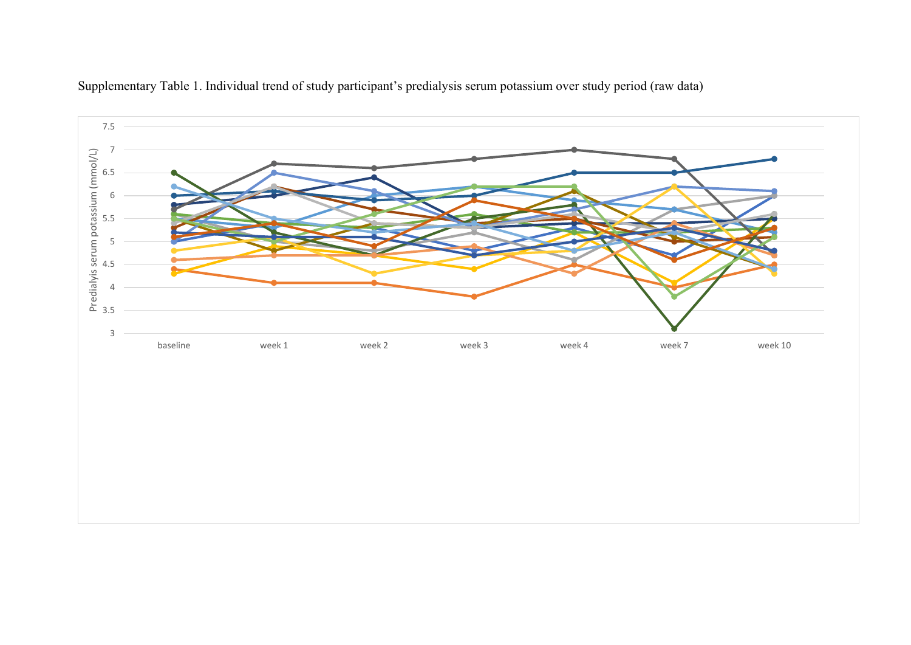

Supplementary Table 1. Individual trend of study participant's predialysis serum potassium over study period (raw data)